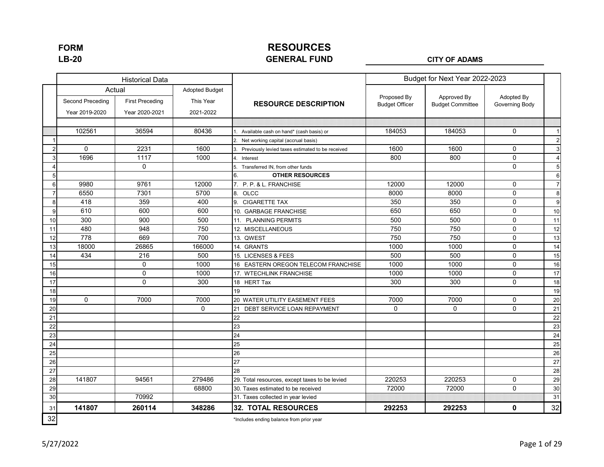### **RESOURCES GENERAL FUND LB-20 CITY OF ADAMS**

|                |                                    | <b>Historical Data</b>                             |                                                 |                                                  |                                      | Budget for Next Year 2022-2023         |                              |                |
|----------------|------------------------------------|----------------------------------------------------|-------------------------------------------------|--------------------------------------------------|--------------------------------------|----------------------------------------|------------------------------|----------------|
|                | Second Preceding<br>Year 2019-2020 | Actual<br><b>First Preceding</b><br>Year 2020-2021 | <b>Adopted Budget</b><br>This Year<br>2021-2022 | <b>RESOURCE DESCRIPTION</b>                      | Proposed By<br><b>Budget Officer</b> | Approved By<br><b>Budget Committee</b> | Adopted By<br>Governing Body |                |
|                |                                    |                                                    |                                                 |                                                  |                                      |                                        |                              |                |
|                | 102561                             | 36594                                              | 80436                                           | 1. Available cash on hand* (cash basis) or       | 184053                               | 184053                                 | 0                            | $\overline{1}$ |
|                |                                    |                                                    |                                                 | 2. Net working capital (accrual basis)           |                                      |                                        |                              | $\overline{c}$ |
| $\overline{c}$ | 0                                  | 2231                                               | 1600                                            | Previously levied taxes estimated to be received | 1600                                 | 1600                                   | 0                            | $\mathbf{3}$   |
| 3              | 1696                               | 1117                                               | 1000                                            | Interest<br>4                                    | 800                                  | 800                                    | $\mathbf 0$                  | $\overline{4}$ |
| $\overline{4}$ |                                    | $\mathbf 0$                                        |                                                 | Transferred IN, from other funds                 |                                      |                                        | 0                            | 5              |
| 5 <sub>5</sub> |                                    |                                                    |                                                 | <b>OTHER RESOURCES</b><br>6.                     |                                      |                                        |                              | 6              |
| $6\phantom{1}$ | 9980                               | 9761                                               | 12000                                           | 7. P. P. & L. FRANCHISE                          | 12000                                | 12000                                  | 0                            | $\overline{7}$ |
| $\overline{7}$ | 6550                               | 7301                                               | 5700                                            | 8. OLCC                                          | 8000                                 | 8000                                   | 0                            | 8              |
| $\bf8$         | 418                                | 359                                                | 400                                             | 9. CIGARETTE TAX                                 | 350                                  | 350                                    | 0                            | 9              |
| 9              | 610                                | 600                                                | 600                                             | 10. GARBAGE FRANCHISE                            | 650                                  | 650                                    | 0                            | 10             |
| 10             | 300                                | 900                                                | 500                                             | 11. PLANNING PERMITS                             | 500                                  | 500                                    | 0                            | 11             |
| 11             | 480                                | 948                                                | 750                                             | 12. MISCELLANEOUS                                | 750                                  | 750                                    | $\mathbf 0$                  | 12             |
| 12             | 778                                | 669                                                | 700                                             | 13. QWEST                                        | 750                                  | 750                                    | 0                            | 13             |
| 13             | 18000                              | 26865                                              | 166000                                          | 14. GRANTS                                       | 1000                                 | 1000                                   | 0                            | 14             |
| 14             | 434                                | 216                                                | 500                                             | 15. LICENSES & FEES                              | 500                                  | 500                                    | 0                            | 15             |
| 15             |                                    | $\mathbf 0$                                        | 1000                                            | 16 EASTERN OREGON TELECOM FRANCHISE              | 1000                                 | 1000                                   | 0                            | 16             |
| 16             |                                    | $\mathbf 0$                                        | 1000                                            | 17. WTECHLINK FRANCHISE                          | 1000                                 | 1000                                   | 0                            | 17             |
| 17             |                                    | 0                                                  | 300                                             | 18 HERT Tax                                      | 300                                  | 300                                    | 0                            | 18             |
| 18             |                                    |                                                    |                                                 | 19                                               |                                      |                                        |                              | 19             |
| 19             | 0                                  | 7000                                               | 7000                                            | 20 WATER UTILITY EASEMENT FEES                   | 7000                                 | 7000                                   | 0                            | 20             |
| 20             |                                    |                                                    | $\mathbf 0$                                     | 21<br>DEBT SERVICE LOAN REPAYMENT                | 0                                    | $\mathbf 0$                            | 0                            | 21             |
| 21             |                                    |                                                    |                                                 | 22                                               |                                      |                                        |                              | 22             |
| 22             |                                    |                                                    |                                                 | 23                                               |                                      |                                        |                              | 23             |
| 23             |                                    |                                                    |                                                 | 24                                               |                                      |                                        |                              | 24             |
| 24             |                                    |                                                    |                                                 | 25                                               |                                      |                                        |                              | 25             |
| 25             |                                    |                                                    |                                                 | 26                                               |                                      |                                        |                              | 26             |
| 26             |                                    |                                                    |                                                 | 27                                               |                                      |                                        |                              | 27             |
| 27             |                                    |                                                    |                                                 | 28                                               |                                      |                                        |                              | 28             |
| 28             | 141807                             | 94561                                              | 279486                                          | 29. Total resources, except taxes to be levied   | 220253                               | 220253                                 | 0                            | 29             |
| 29             |                                    |                                                    | 68800                                           | 30. Taxes estimated to be received               | 72000                                | 72000                                  | 0                            | 30             |
| 30             |                                    | 70992                                              |                                                 | 31. Taxes collected in year levied               |                                      |                                        |                              | 31             |
| 31             | 141807                             | 260114                                             | 348286                                          | <b>32. TOTAL RESOURCES</b>                       | 292253                               | 292253                                 | 0                            | 32             |
| 32             |                                    |                                                    |                                                 | *Includes ending balance from prior year         |                                      |                                        |                              |                |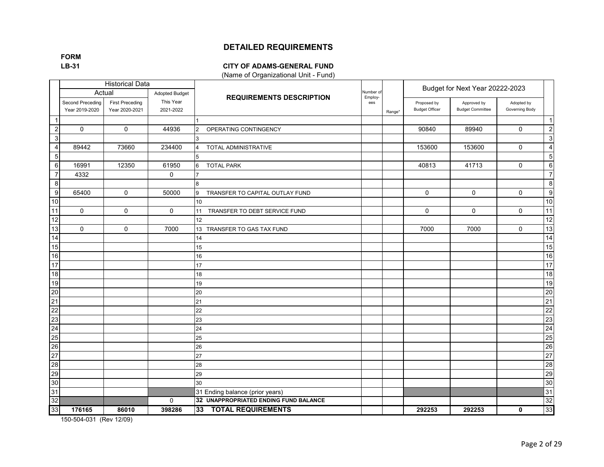**FORM**

#### **LB-31 CITY OF ADAMS-GENERAL FUND**

(Name of Organizational Unit - Fund)

|                  |                                    | <b>Historical Data</b>                   |                        |                                       |                      |        |                                      | Budget for Next Year 20222-2023        |                              |                  |
|------------------|------------------------------------|------------------------------------------|------------------------|---------------------------------------|----------------------|--------|--------------------------------------|----------------------------------------|------------------------------|------------------|
|                  |                                    | Actual                                   | <b>Adopted Budget</b>  | <b>REQUIREMENTS DESCRIPTION</b>       | Number of<br>Employ- |        |                                      |                                        |                              |                  |
|                  | Second Preceding<br>Year 2019-2020 | <b>First Preceding</b><br>Year 2020-2021 | This Year<br>2021-2022 |                                       | ees                  | Range' | Proposed by<br><b>Budget Officer</b> | Approved by<br><b>Budget Committee</b> | Adopted by<br>Governing Body |                  |
| -1               |                                    |                                          |                        |                                       |                      |        |                                      |                                        |                              | $\overline{1}$   |
| $\overline{2}$   | $\Omega$                           | $\Omega$                                 | 44936                  | OPERATING CONTINGENCY<br>2            |                      |        | 90840                                | 89940                                  | $\mathbf 0$                  | $\overline{c}$   |
| 3                |                                    |                                          |                        |                                       |                      |        |                                      |                                        |                              | $\mathbf{3}$     |
| 4                | 89442                              | 73660                                    | 234400                 | TOTAL ADMINISTRATIVE<br>4             |                      |        | 153600                               | 153600                                 | $\mathbf 0$                  | $\overline{4}$   |
| $\sqrt{5}$       |                                    |                                          |                        | 5                                     |                      |        |                                      |                                        |                              | $\sqrt{5}$       |
| 6                | 16991                              | 12350                                    | 61950                  | <b>TOTAL PARK</b><br>6                |                      |        | 40813                                | 41713                                  | $\mathbf 0$                  | 6                |
| $\overline{7}$   | 4332                               |                                          | $\mathbf 0$            |                                       |                      |        |                                      |                                        |                              | $\overline{7}$   |
| 8                |                                    |                                          |                        | 8                                     |                      |        |                                      |                                        |                              | 8                |
| 9                | 65400                              | $\mathbf 0$                              | 50000                  | 9<br>TRANSFER TO CAPITAL OUTLAY FUND  |                      |        | 0                                    | $\mathbf 0$                            | $\mathbf 0$                  | $\boldsymbol{9}$ |
| 10               |                                    |                                          |                        | 10                                    |                      |        |                                      |                                        |                              | 10               |
| 11               | $\mathbf{0}$                       | $\Omega$                                 | $\mathbf 0$            | TRANSFER TO DEBT SERVICE FUND<br>11   |                      |        | $\Omega$                             | $\Omega$                               | $\Omega$                     | 11               |
| 12               |                                    |                                          |                        | 12                                    |                      |        |                                      |                                        |                              | 12               |
| 13               | $\mathbf 0$                        | $\Omega$                                 | 7000                   | 13<br>TRANSFER TO GAS TAX FUND        |                      |        | 7000                                 | 7000                                   | $\mathsf 0$                  | 13               |
| 14               |                                    |                                          |                        | 14                                    |                      |        |                                      |                                        |                              | 14               |
| 15               |                                    |                                          |                        | 15                                    |                      |        |                                      |                                        |                              | 15               |
| 16               |                                    |                                          |                        | 16                                    |                      |        |                                      |                                        |                              | 16               |
| 17               |                                    |                                          |                        | 17                                    |                      |        |                                      |                                        |                              | 17               |
| 18               |                                    |                                          |                        | 18                                    |                      |        |                                      |                                        |                              | 18               |
| 19               |                                    |                                          |                        | 19                                    |                      |        |                                      |                                        |                              | 19               |
| $20\overline{)}$ |                                    |                                          |                        | 20                                    |                      |        |                                      |                                        |                              | 20               |
| 21               |                                    |                                          |                        | 21                                    |                      |        |                                      |                                        |                              | 21               |
| 22               |                                    |                                          |                        | 22                                    |                      |        |                                      |                                        |                              | 22               |
| 23               |                                    |                                          |                        | 23                                    |                      |        |                                      |                                        |                              | 23               |
| 24               |                                    |                                          |                        | 24                                    |                      |        |                                      |                                        |                              | 24               |
| 25               |                                    |                                          |                        | 25                                    |                      |        |                                      |                                        |                              | 25               |
| 26               |                                    |                                          |                        | 26                                    |                      |        |                                      |                                        |                              | 26               |
| 27               |                                    |                                          |                        | 27                                    |                      |        |                                      |                                        |                              | 27               |
| $\overline{28}$  |                                    |                                          |                        | 28                                    |                      |        |                                      |                                        |                              | 28               |
| 29               |                                    |                                          |                        | 29                                    |                      |        |                                      |                                        |                              | 29               |
| 30               |                                    |                                          |                        | 30                                    |                      |        |                                      |                                        |                              | 30               |
| 31               |                                    |                                          |                        | 31 Ending balance (prior years)       |                      |        |                                      |                                        |                              | 31               |
| 32               |                                    |                                          | 0                      | 32 UNAPPROPRIATED ENDING FUND BALANCE |                      |        |                                      |                                        |                              | 32               |
| 33               | 176165                             | 86010                                    | 398286                 | <b>TOTAL REQUIREMENTS</b><br>33       |                      |        | 292253                               | 292253                                 | $\mathbf 0$                  | 33               |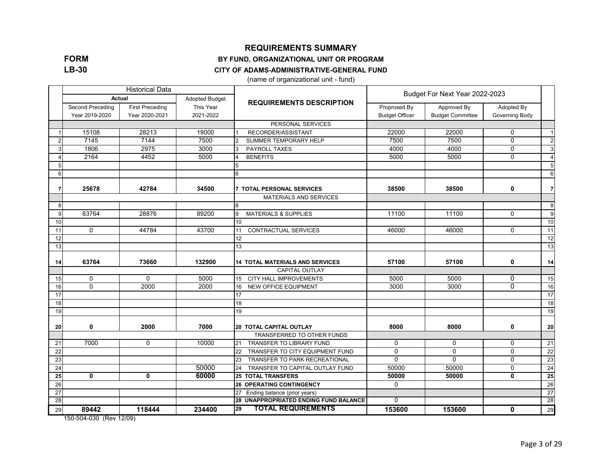**FORM LB-30**

#### **REQUIREMENTS SUMMARY**

#### **BY FUND, ORGANIZATIONAL UNIT OR PROGRAM**

#### **CITY OF ADAMS-ADMINISTRATIVE-GENERAL FUND**

(name of organizational unit - fund)

|    |                                    | <b>Historical Data</b>                   |                        |                                            | Budget For Next Year 2022-2023        |                                        |                              |                |  |
|----|------------------------------------|------------------------------------------|------------------------|--------------------------------------------|---------------------------------------|----------------------------------------|------------------------------|----------------|--|
|    | <b>Actual</b>                      |                                          | <b>Adopted Budget</b>  | <b>REQUIREMENTS DESCRIPTION</b>            |                                       |                                        |                              |                |  |
|    | Second Preceding<br>Year 2019-2020 | <b>First Preceding</b><br>Year 2020-2021 | This Year<br>2021-2022 |                                            | Proprosed By<br><b>Budget Officer</b> | Approved By<br><b>Budget Committee</b> | Adopted By<br>Governing Body |                |  |
|    |                                    |                                          |                        | PERSONAL SERVICES                          |                                       |                                        |                              |                |  |
|    | 15108                              | 28213                                    | 19000                  | RECORDER/ASSISTANT                         | 22000                                 | 22000                                  | $\mathbf 0$                  | $\vert$ 1      |  |
|    | 7145                               | 7144                                     | 7500                   | SUMMER TEMPORARY HELP                      | 7500                                  | 7500                                   | $\mathbf 0$                  | $\overline{2}$ |  |
| 3  | 1806                               | 2975                                     | 3000                   | PAYROLL TAXES                              | 4000                                  | 4000                                   | $\mathbf 0$                  | $\mathbf{3}$   |  |
|    | 2164                               | 4452                                     | 5000                   | <b>BENEFITS</b>                            | 5000                                  | 5000                                   | $\Omega$                     | $\overline{4}$ |  |
|    |                                    |                                          |                        | 5                                          |                                       |                                        |                              | 5 <sub>5</sub> |  |
| 6  |                                    |                                          |                        | 6                                          |                                       |                                        |                              | 6              |  |
|    | 25678                              | 42784                                    | 34500                  | <b>7 TOTAL PERSONAL SERVICES</b>           | 38500                                 | 38500                                  | 0                            | $\overline{7}$ |  |
|    |                                    |                                          |                        | <b>MATERIALS AND SERVICES</b>              |                                       |                                        |                              |                |  |
| 8  |                                    |                                          |                        | 8                                          |                                       |                                        |                              | 8              |  |
| 9  | 63764                              | 28876                                    | 89200                  | 9<br><b>MATERIALS &amp; SUPPLIES</b>       | 11100                                 | 11100                                  | $\mathbf{0}$                 | 9              |  |
| 10 |                                    |                                          |                        | 10                                         |                                       |                                        |                              | 10             |  |
| 11 | $\mathbf{0}$                       | 44784                                    | 43700                  | 11<br><b>CONTRACTUAL SERVICES</b>          | 46000                                 | 46000                                  | $\Omega$                     | 11             |  |
| 12 |                                    |                                          |                        | 12                                         |                                       |                                        |                              | 12             |  |
| 13 |                                    |                                          |                        | 13                                         |                                       |                                        |                              | 13             |  |
| 14 | 63764                              | 73660                                    | 132900                 | <b>14 TOTAL MATERIALS AND SERVICES</b>     | 57100                                 | 57100                                  | 0                            | 14             |  |
|    |                                    |                                          |                        | CAPITAL OUTLAY                             |                                       |                                        |                              |                |  |
| 15 | $\mathbf{0}$                       | $\mathbf{0}$                             | 5000                   | 15 CITY HALL IMPROVEMENTS                  | 5000                                  | 5000                                   | $\mathbf{0}$                 | 15             |  |
| 16 | $\mathbf{0}$                       | 2000                                     | 2000                   | <b>NEW OFFICE EQUIPMENT</b><br>16          | 3000                                  | 3000                                   | $\overline{0}$               | 16             |  |
| 17 |                                    |                                          |                        | 17                                         |                                       |                                        |                              | 17             |  |
| 18 |                                    |                                          |                        | 18                                         |                                       |                                        |                              | 18             |  |
| 19 |                                    |                                          |                        | 19                                         |                                       |                                        |                              | 19             |  |
| 20 | $\mathbf 0$                        | 2000                                     | 7000                   | 20 TOTAL CAPITAL OUTLAY                    | 8000                                  | 8000                                   | $\mathbf 0$                  | 20             |  |
|    |                                    |                                          |                        | TRANSFERRED TO OTHER FUNDS                 |                                       |                                        |                              |                |  |
| 21 | 7000                               | $\Omega$                                 | 10000                  | <b>TRANSFER TO LIBRARY FUND</b><br>21      | $\Omega$                              | $\mathbf 0$                            | $\mathbf{0}$                 | 21             |  |
| 22 |                                    |                                          |                        | TRANSFER TO CITY EQUIPMENT FUND<br>22      | $\Omega$                              | $\Omega$                               | $\mathbf{0}$                 | 22             |  |
| 23 |                                    |                                          |                        | <b>TRANSFER TO PARK RECREATIONAL</b><br>23 | $\Omega$                              | $\mathbf{0}$                           | $\mathbf{0}$                 | 23             |  |
| 24 |                                    |                                          | 50000                  | TRANSFER TO CAPITAL OUTLAY FUND<br>24      | 50000                                 | 50000                                  | $\mathbf{0}$                 | 24             |  |
| 25 | $\mathbf{0}$                       | 0                                        | 60000                  | <b>25 TOTAL TRANSFERS</b>                  | 50000                                 | 50000                                  | $\mathbf{0}$                 | 25             |  |
| 26 |                                    |                                          |                        | <b>26 OPERATING CONTINGENCY</b>            | $\overline{0}$                        |                                        |                              | 26             |  |
| 27 |                                    |                                          |                        | 27 Ending balance (prior years)            |                                       |                                        |                              | 27             |  |
| 28 |                                    |                                          |                        | 28 UNAPPROPRIATED ENDING FUND BALANCE      | $\overline{0}$                        |                                        |                              | 28             |  |
| 29 | 89442                              | 118444                                   | 234400                 | <b>TOTAL REQUIREMENTS</b><br>29            | 153600                                | 153600                                 | $\mathbf{0}$                 | 29             |  |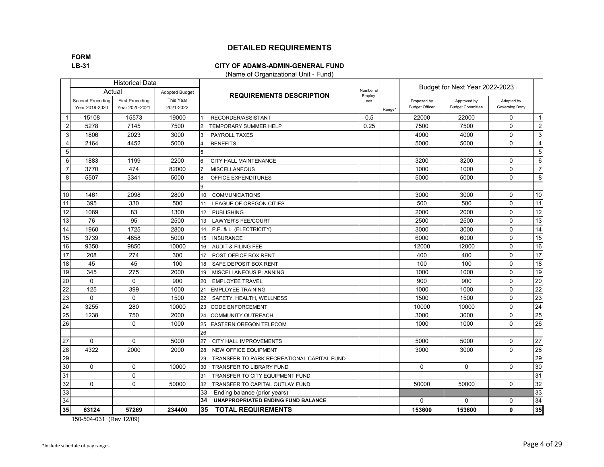**FORM**

#### **LB-31 CITY OF ADAMS-ADMIN-GENERAL FUND**

(Name of Organizational Unit - Fund)

|                 |                                           | <b>Historical Data</b>                   |                        |                                                  |                     |        |                                      | Budget for Next Year 2022-2023         |                              |                 |
|-----------------|-------------------------------------------|------------------------------------------|------------------------|--------------------------------------------------|---------------------|--------|--------------------------------------|----------------------------------------|------------------------------|-----------------|
|                 | Actual                                    |                                          | <b>Adopted Budget</b>  | <b>REQUIREMENTS DESCRIPTION</b>                  | Number o<br>Employ- |        |                                      |                                        |                              |                 |
|                 | <b>Second Preceding</b><br>Year 2019-2020 | <b>First Preceding</b><br>Year 2020-2021 | This Year<br>2021-2022 |                                                  | ees                 | Range* | Proposed by<br><b>Budget Officer</b> | Approved by<br><b>Budget Committee</b> | Adopted by<br>Governing Body |                 |
|                 | 15108                                     | 15573                                    | 19000                  | RECORDER/ASSISTANT                               | 0.5                 |        | 22000                                | 22000                                  | $\Omega$                     | $\mathbf{1}$    |
| $\overline{2}$  | 5278                                      | 7145                                     | 7500                   | TEMPORARY SUMMER HELP                            | 0.25                |        | 7500                                 | 7500                                   | 0                            | $\overline{2}$  |
| 3               | 1806                                      | 2023                                     | 3000                   | PAYROLL TAXES                                    |                     |        | 4000                                 | 4000                                   | $\mathbf 0$                  | 3               |
| 4               | 2164                                      | 4452                                     | 5000                   | <b>BENEFITS</b>                                  |                     |        | 5000                                 | 5000                                   | $\mathbf{0}$                 | $\overline{4}$  |
| 5               |                                           |                                          |                        |                                                  |                     |        |                                      |                                        |                              | 5               |
| 6               | 1883                                      | 1199                                     | 2200                   | CITY HALL MAINTENANCE<br>6                       |                     |        | 3200                                 | 3200                                   | $\mathbf 0$                  | $6\phantom{1}6$ |
| 7               | 3770                                      | 474                                      | 82000                  | <b>MISCELLANEOUS</b>                             |                     |        | 1000                                 | 1000                                   | $\Omega$                     | $\overline{7}$  |
| 8               | 5507                                      | 3341                                     | 5000                   | OFFICE EXPENDITURES<br>8                         |                     |        | 5000                                 | 5000                                   | $\mathbf 0$                  | 8               |
|                 |                                           |                                          |                        | a                                                |                     |        |                                      |                                        |                              |                 |
| 10              | 1461                                      | 2098                                     | 2800                   | <b>COMMUNICATIONS</b><br>10 <sup>1</sup>         |                     |        | 3000                                 | 3000                                   | $\Omega$                     | 10              |
| 11              | 395                                       | 330                                      | 500                    | LEAGUE OF OREGON CITIES<br>11                    |                     |        | 500                                  | 500                                    | $\mathbf 0$                  | 11              |
| 12              | 1089                                      | 83                                       | 1300                   | <b>PUBLISHING</b><br>12 <sup>2</sup>             |                     |        | 2000                                 | 2000                                   | $\mathbf 0$                  | 12              |
| 13              | 76                                        | 95                                       | 2500                   | <b>LAWYER'S FEE/COURT</b><br>13                  |                     |        | 2500                                 | 2500                                   | $\Omega$                     | 13              |
| $\overline{14}$ | 1960                                      | 1725                                     | 2800                   | P.P. & L. (ELECTRICITY)<br>14                    |                     |        | 3000                                 | 3000                                   | $\mathbf 0$                  | $\overline{14}$ |
| 15              | 3739                                      | 4858                                     | 5000                   | 15 <sup>15</sup><br><b>INSURANCE</b>             |                     |        | 6000                                 | 6000                                   | $\mathbf 0$                  | 15              |
| 16              | 9350                                      | 9850                                     | 10000                  | <b>AUDIT &amp; FILING FEE</b><br>16              |                     |        | 12000                                | 12000                                  | $\Omega$                     | 16              |
| 17              | 208                                       | 274                                      | 300                    | 17<br>POST OFFICE BOX RENT                       |                     |        | 400                                  | 400                                    | $\mathbf 0$                  | 17              |
| $\overline{18}$ | 45                                        | 45                                       | 100                    | SAFE DEPOSIT BOX RENT<br>18                      |                     |        | 100                                  | 100                                    | $\mathbf 0$                  | $\overline{18}$ |
| 19              | 345                                       | 275                                      | 2000                   | MISCELLANEOUS PLANNING<br>19                     |                     |        | 1000                                 | 1000                                   | $\Omega$                     | 19              |
| 20              | $\mathbf{0}$                              | $\mathbf{0}$                             | 900                    | 20<br><b>EMPLOYEE TRAVEL</b>                     |                     |        | 900                                  | 900                                    | $\mathbf 0$                  | 20              |
| $\overline{22}$ | 125                                       | 399                                      | 1000                   | <b>EMPLOYEE TRAINING</b><br>21                   |                     |        | 1000                                 | 1000                                   | $\Omega$                     | $\overline{22}$ |
| 23              | $\Omega$                                  | $\Omega$                                 | 1500                   | SAFETY, HEALTH, WELLNESS<br>22                   |                     |        | 1500                                 | 1500                                   | $\Omega$                     | 23              |
| 24              | 3255                                      | 280                                      | 10000                  | <b>CODE ENFORCEMENT</b><br>23                    |                     |        | 10000                                | 10000                                  | $\Omega$                     | $\overline{24}$ |
| 25              | 1238                                      | 750                                      | 2000                   | 24 COMMUNITY OUTREACH                            |                     |        | 3000                                 | 3000                                   | $\mathbf 0$                  | 25              |
| $\overline{26}$ |                                           | $\Omega$                                 | 1000                   | <b>EASTERN OREGON TELECOM</b><br>25              |                     |        | 1000                                 | 1000                                   | $\Omega$                     | 26              |
|                 |                                           |                                          |                        | 26                                               |                     |        |                                      |                                        |                              |                 |
| 27              | $\Omega$                                  | $\mathbf{0}$                             | 5000                   | 27<br>CITY HALL IMPROVEMENTS                     |                     |        | 5000                                 | 5000                                   | 0                            | 27              |
| 28              | 4322                                      | 2000                                     | 2000                   | 28<br><b>NEW OFFICE EQUIPMENT</b>                |                     |        | 3000                                 | 3000                                   | $\Omega$                     | 28              |
| 29              |                                           |                                          |                        | 29<br>TRANSFER TO PARK RECREATIONAL CAPITAL FUND |                     |        |                                      |                                        |                              | 29              |
| 30              | $\Omega$                                  | $\Omega$                                 | 10000                  | 30<br><b>TRANSFER TO LIBRARY FUND</b>            |                     |        | $\mathbf 0$                          | 0                                      | $\mathbf{0}$                 | 30              |
| 31              |                                           | $\mathbf 0$                              |                        | TRANSFER TO CITY EQUIPMENT FUND<br>31            |                     |        |                                      |                                        |                              | 31              |
| 32              | $\Omega$                                  | $\mathbf 0$                              | 50000                  | 32<br>TRANSFER TO CAPITAL OUTLAY FUND            |                     |        | 50000                                | 50000                                  | $\mathbf{0}$                 | 32              |
| 33              |                                           |                                          |                        | 33<br>Ending balance (prior years)               |                     |        |                                      |                                        |                              | 33              |
| $\overline{34}$ |                                           |                                          |                        | 34<br>UNAPPROPRIATED ENDING FUND BALANCE         |                     |        | $\Omega$                             | 0                                      | $\mathbf{0}$                 | 34              |
| 35              | 63124                                     | 57269                                    | 234400                 | <b>TOTAL REQUIREMENTS</b><br>35                  |                     |        | 153600                               | 153600                                 | $\mathbf{0}$                 | 35              |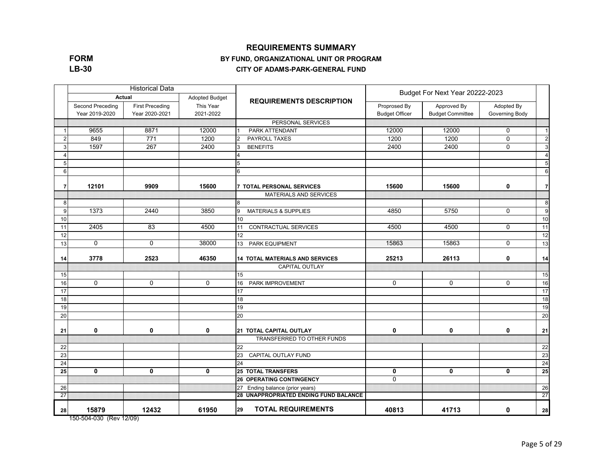#### **REQUIREMENTS SUMMARY**

#### **FORM LB-30**

#### **BY FUND, ORGANIZATIONAL UNIT OR PROGRAM**

**CITY OF ADAMS-PARK-GENERAL FUND**

|    |                                    | <b>Historical Data</b>                   |                        |                                        | Budget For Next Year 20222-2023       |                                        |                              |                 |  |
|----|------------------------------------|------------------------------------------|------------------------|----------------------------------------|---------------------------------------|----------------------------------------|------------------------------|-----------------|--|
|    | <b>Actual</b>                      |                                          | Adopted Budget         | <b>REQUIREMENTS DESCRIPTION</b>        |                                       |                                        |                              |                 |  |
|    | Second Preceding<br>Year 2019-2020 | <b>First Preceding</b><br>Year 2020-2021 | This Year<br>2021-2022 |                                        | Proprosed By<br><b>Budget Officer</b> | Approved By<br><b>Budget Committee</b> | Adopted By<br>Governing Body |                 |  |
|    |                                    |                                          |                        | PERSONAL SERVICES                      |                                       |                                        |                              |                 |  |
|    | 9655                               | 8871                                     | 12000                  | PARK ATTENDANT                         | 12000                                 | 12000                                  | $\mathbf 0$                  | $\overline{1}$  |  |
| 2  | 849                                | $\overline{771}$                         | 1200                   | PAYROLL TAXES                          | 1200                                  | 1200                                   | $\mathbf 0$                  | $\overline{2}$  |  |
| 3  | 1597                               | 267                                      | 2400                   | <b>BENEFITS</b><br>3                   | 2400                                  | 2400                                   | $\mathbf 0$                  | 3               |  |
|    |                                    |                                          |                        |                                        |                                       |                                        |                              | $\overline{4}$  |  |
| F  |                                    |                                          |                        | 5                                      |                                       |                                        |                              | $5\phantom{.0}$ |  |
| 6  |                                    |                                          |                        | 6                                      |                                       |                                        |                              | 6               |  |
| -7 | 12101                              | 9909                                     | 15600                  | 7 TOTAL PERSONAL SERVICES              | 15600                                 | 15600                                  | $\mathbf 0$                  | $\overline{7}$  |  |
|    |                                    |                                          |                        | <b>MATERIALS AND SERVICES</b>          |                                       |                                        |                              |                 |  |
| 8  |                                    |                                          |                        | 8                                      |                                       |                                        |                              | 8               |  |
| 9  | 1373                               | 2440                                     | 3850                   | 9<br><b>MATERIALS &amp; SUPPLIES</b>   | 4850                                  | 5750                                   | $\mathbf 0$                  | 9               |  |
| 10 |                                    |                                          |                        | 10                                     |                                       |                                        |                              | 10              |  |
| 11 | 2405                               | 83                                       | 4500                   | CONTRACTUAL SERVICES<br>11             | 4500                                  | 4500                                   | $\mathbf 0$                  | 11              |  |
| 12 |                                    |                                          |                        | 12                                     |                                       |                                        |                              | 12              |  |
| 13 | $\Omega$                           | $\Omega$                                 | 38000                  | PARK EQUIPMENT<br>13                   | 15863                                 | 15863                                  | $\mathbf{0}$                 | 13              |  |
| 14 | 3778                               | 2523                                     | 46350                  | <b>14 TOTAL MATERIALS AND SERVICES</b> | 25213                                 | 26113                                  | $\mathbf 0$                  | 14              |  |
|    |                                    |                                          |                        | <b>CAPITAL OUTLAY</b>                  |                                       |                                        |                              |                 |  |
| 15 |                                    |                                          |                        | 15                                     |                                       |                                        |                              | 15              |  |
| 16 | $\mathbf 0$                        | $\mathbf 0$                              | $\mathbf 0$            | PARK IMPROVEMENT<br>16                 | $\mathbf 0$                           | 0                                      | 0                            | 16              |  |
| 17 |                                    |                                          |                        | 17                                     |                                       |                                        |                              | 17              |  |
| 18 |                                    |                                          |                        | 18                                     |                                       |                                        |                              | 18              |  |
| 19 |                                    |                                          |                        | 19                                     |                                       |                                        |                              | 19              |  |
| 20 |                                    |                                          |                        | 20                                     |                                       |                                        |                              | 20              |  |
| 21 | 0                                  | $\mathbf 0$                              | 0                      | 21 TOTAL CAPITAL OUTLAY                | $\mathbf 0$                           | 0                                      | 0                            | 21              |  |
|    |                                    |                                          |                        | TRANSFERRED TO OTHER FUNDS             |                                       |                                        |                              |                 |  |
| 22 |                                    |                                          |                        | 22                                     |                                       |                                        |                              | 22              |  |
| 23 |                                    |                                          |                        | 23<br>CAPITAL OUTLAY FUND              |                                       |                                        |                              | 23              |  |
| 24 |                                    |                                          |                        | 24                                     |                                       |                                        |                              | 24              |  |
| 25 | $\mathbf{0}$                       | $\mathbf{0}$                             | $\mathbf{0}$           | <b>25 TOTAL TRANSFERS</b>              | $\mathbf{0}$                          | $\mathbf{0}$                           | $\mathbf{0}$                 | 25              |  |
|    |                                    |                                          |                        | <b>26 OPERATING CONTINGENCY</b>        | $\Omega$                              |                                        |                              |                 |  |
| 26 |                                    |                                          |                        | 27 Ending balance (prior years)        |                                       |                                        |                              | 26              |  |
| 27 |                                    |                                          |                        | 28 UNAPPROPRIATED ENDING FUND BALANCE  |                                       |                                        |                              | 27              |  |
| 28 | 15879                              | 12432                                    | 61950                  | <b>TOTAL REQUIREMENTS</b><br>29        | 40813                                 | 41713                                  | 0                            | 28              |  |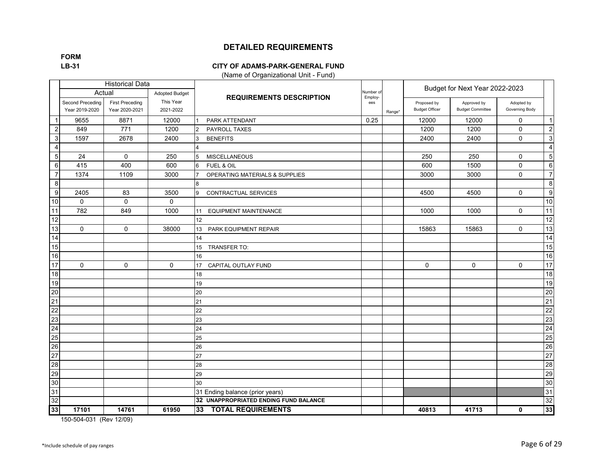**FORM**

#### **LB-31 CITY OF ADAMS-PARK-GENERAL FUND**

(Name of Organizational Unit - Fund)

|                  |                                    | <b>Historical Data</b>                   |                        |                                       |                     |        |                                      | Budget for Next Year 2022-2023         |                              |                  |
|------------------|------------------------------------|------------------------------------------|------------------------|---------------------------------------|---------------------|--------|--------------------------------------|----------------------------------------|------------------------------|------------------|
|                  | Actual                             |                                          | <b>Adopted Budget</b>  | <b>REQUIREMENTS DESCRIPTION</b>       | Number o<br>Employ- |        |                                      |                                        |                              |                  |
|                  | Second Preceding<br>Year 2019-2020 | <b>First Preceding</b><br>Year 2020-2021 | This Year<br>2021-2022 |                                       | ees                 | Range* | Proposed by<br><b>Budget Officer</b> | Approved by<br><b>Budget Committee</b> | Adopted by<br>Governing Body |                  |
| -1               | 9655                               | 8871                                     | 12000                  | PARK ATTENDANT                        | 0.25                |        | 12000                                | 12000                                  | $\mathbf 0$                  | $\vert$ 1        |
| $\overline{2}$   | 849                                | 771                                      | 1200                   | PAYROLL TAXES<br>$\overline{2}$       |                     |        | 1200                                 | 1200                                   | $\Omega$                     | $\overline{2}$   |
| 3                | 1597                               | 2678                                     | 2400                   | <b>BENEFITS</b><br>3                  |                     |        | 2400                                 | 2400                                   | 0                            | $\mathbf{3}$     |
| 4                |                                    |                                          |                        |                                       |                     |        |                                      |                                        |                              | $\overline{a}$   |
| $\sqrt{5}$       | 24                                 | $\mathbf 0$                              | 250                    | <b>MISCELLANEOUS</b><br>5             |                     |        | 250                                  | 250                                    | 0                            | 5 <sub>5</sub>   |
| 6                | 415                                | 400                                      | 600                    | FUEL & OIL<br>6                       |                     |        | 600                                  | 1500                                   | $\Omega$                     | $6 \overline{6}$ |
| $\overline{7}$   | 1374                               | 1109                                     | 3000                   | OPERATING MATERIALS & SUPPLIES        |                     |        | 3000                                 | 3000                                   | $\Omega$                     | $\overline{7}$   |
| $\overline{8}$   |                                    |                                          |                        | 8                                     |                     |        |                                      |                                        |                              | 8                |
| $\boldsymbol{9}$ | 2405                               | 83                                       | 3500                   | CONTRACTUAL SERVICES<br>9             |                     |        | 4500                                 | 4500                                   | $\mathbf 0$                  | 9                |
| 10               | $\mathbf 0$                        | $\mathbf 0$                              | $\mathbf 0$            |                                       |                     |        |                                      |                                        |                              | 10               |
| 11               | 782                                | 849                                      | 1000                   | <b>EQUIPMENT MAINTENANCE</b><br>11    |                     |        | 1000                                 | 1000                                   | $\Omega$                     | 11               |
| $\overline{12}$  |                                    |                                          |                        | 12 <sup>2</sup>                       |                     |        |                                      |                                        |                              | 12               |
| 13               | $\Omega$                           | $\Omega$                                 | 38000                  | 13<br>PARK EQUIPMENT REPAIR           |                     |        | 15863                                | 15863                                  | $\mathbf 0$                  | 13               |
| 14               |                                    |                                          |                        | 14                                    |                     |        |                                      |                                        |                              | 14               |
| 15               |                                    |                                          |                        | 15<br>TRANSFER TO:                    |                     |        |                                      |                                        |                              | 15               |
| 16               |                                    |                                          |                        | 16                                    |                     |        |                                      |                                        |                              | 16               |
| 17               | $\Omega$                           | $\mathbf 0$                              | $\mathbf 0$            | 17<br>CAPITAL OUTLAY FUND             |                     |        | $\mathbf 0$                          | $\mathbf 0$                            | $\mathbf 0$                  | 17               |
| 18               |                                    |                                          |                        | 18                                    |                     |        |                                      |                                        |                              | 18               |
| 19               |                                    |                                          |                        | 19                                    |                     |        |                                      |                                        |                              | 19               |
| 20               |                                    |                                          |                        | 20                                    |                     |        |                                      |                                        |                              | $20\,$           |
| 21               |                                    |                                          |                        | 21                                    |                     |        |                                      |                                        |                              | 21               |
| 22               |                                    |                                          |                        | 22                                    |                     |        |                                      |                                        |                              | 22               |
| 23               |                                    |                                          |                        | 23                                    |                     |        |                                      |                                        |                              | 23               |
| 24               |                                    |                                          |                        | 24                                    |                     |        |                                      |                                        |                              | 24               |
| 25               |                                    |                                          |                        | 25                                    |                     |        |                                      |                                        |                              | 25               |
| 26               |                                    |                                          |                        | 26                                    |                     |        |                                      |                                        |                              | 26               |
| 27               |                                    |                                          |                        | 27                                    |                     |        |                                      |                                        |                              | 27               |
| 28               |                                    |                                          |                        | 28                                    |                     |        |                                      |                                        |                              | 28               |
| 29               |                                    |                                          |                        | 29                                    |                     |        |                                      |                                        |                              | 29               |
| 30               |                                    |                                          |                        | 30                                    |                     |        |                                      |                                        |                              | 30               |
| 31               |                                    |                                          |                        | 31 Ending balance (prior years)       |                     |        |                                      |                                        |                              | 31               |
| 32               |                                    |                                          |                        | 32 UNAPPROPRIATED ENDING FUND BALANCE |                     |        |                                      |                                        |                              | 32               |
| 33               | 17101                              | 14761                                    | 61950                  | <b>TOTAL REQUIREMENTS</b><br>33       |                     |        | 40813                                | 41713                                  | 0                            | 33               |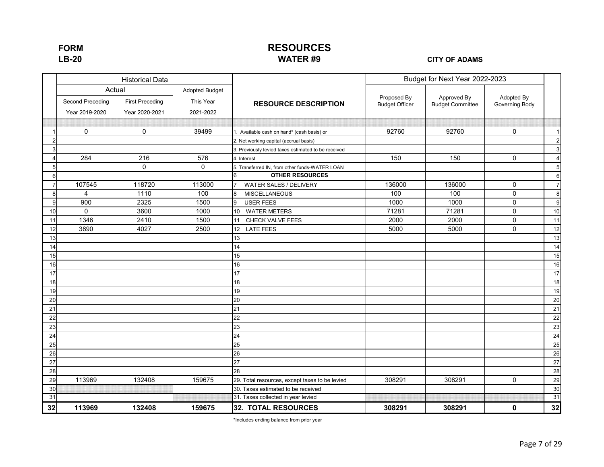### **RESOURCES WATER #9**

**LB-20 CITY OF ADAMS**

|                |                  | <b>Historical Data</b> |                       |                                                     |                       | Budget for Next Year 2022-2023 |                |                  |
|----------------|------------------|------------------------|-----------------------|-----------------------------------------------------|-----------------------|--------------------------------|----------------|------------------|
|                | Actual           |                        | <b>Adopted Budget</b> |                                                     | Proposed By           | Approved By                    | Adopted By     |                  |
|                | Second Preceding | <b>First Preceding</b> | This Year             | <b>RESOURCE DESCRIPTION</b>                         | <b>Budget Officer</b> | <b>Budget Committee</b>        | Governing Body |                  |
|                | Year 2019-2020   | Year 2020-2021         | 2021-2022             |                                                     |                       |                                |                |                  |
|                |                  |                        |                       |                                                     |                       |                                |                |                  |
|                | $\mathbf 0$      | $\mathbf 0$            | 39499                 | . Available cash on hand* (cash basis) or           | 92760                 | 92760                          | $\mathbf 0$    | $\mathbf{1}$     |
| $\overline{2}$ |                  |                        |                       | 2. Net working capital (accrual basis)              |                       |                                |                | $\sqrt{2}$       |
| 3              |                  |                        |                       | 3. Previously levied taxes estimated to be received |                       |                                |                | $\mathbf{3}$     |
|                | 284              | 216                    | 576                   | 4. Interest                                         | 150                   | 150                            | $\mathbf 0$    | $\sqrt{4}$       |
| 5              |                  | $\mathbf 0$            | 0                     | 5. Transferred IN, from other funds-WATER LOAN      |                       |                                |                | 5                |
| 6              |                  |                        |                       | <b>OTHER RESOURCES</b><br>6                         |                       |                                |                | $\,6\,$          |
| $\overline{7}$ | 107545           | 118720                 | 113000                | WATER SALES / DELIVERY                              | 136000                | 136000                         | 0              | $\overline{7}$   |
| 8              | $\overline{4}$   | 1110                   | 100                   | <b>MISCELLANEOUS</b><br>$\mathsf{B}$                | 100                   | 100                            | $\mathbf 0$    | 8                |
| 9              | 900              | 2325                   | 1500                  | <b>USER FEES</b><br>q                               | 1000                  | 1000                           | 0              | $\boldsymbol{9}$ |
| 10             | $\mathbf 0$      | 3600                   | 1000                  | 10 WATER METERS                                     | 71281                 | 71281                          | 0              | 10               |
| 11             | 1346             | 2410                   | 1500                  | CHECK VALVE FEES<br>11                              | 2000                  | 2000                           | $\mathbf 0$    | 11               |
| 12             | 3890             | 4027                   | 2500                  | 12 <sup>°</sup><br><b>LATE FEES</b>                 | 5000                  | 5000                           | $\mathbf 0$    | 12               |
| 13             |                  |                        |                       | 13                                                  |                       |                                |                | 13               |
| 14             |                  |                        |                       | 14                                                  |                       |                                |                | 14               |
| 15             |                  |                        |                       | 15                                                  |                       |                                |                | 15               |
| 16             |                  |                        |                       | 16                                                  |                       |                                |                | 16               |
| 17             |                  |                        |                       | 17                                                  |                       |                                |                | 17               |
| 18             |                  |                        |                       | 18                                                  |                       |                                |                | 18               |
| 19             |                  |                        |                       | 19                                                  |                       |                                |                | 19               |
| 20             |                  |                        |                       | 20                                                  |                       |                                |                | 20               |
| 21             |                  |                        |                       | 21                                                  |                       |                                |                | 21               |
| 22             |                  |                        |                       | 22                                                  |                       |                                |                | $\overline{22}$  |
| 23             |                  |                        |                       | 23                                                  |                       |                                |                | 23               |
| 24             |                  |                        |                       | 24                                                  |                       |                                |                | 24               |
| 25             |                  |                        |                       | 25                                                  |                       |                                |                | 25               |
| 26             |                  |                        |                       | 26                                                  |                       |                                |                | 26               |
| 27             |                  |                        |                       | 27                                                  |                       |                                |                | 27               |
| 28             |                  |                        |                       | 28                                                  |                       |                                |                | 28               |
| 29             | 113969           | 132408                 | 159675                | 29. Total resources, except taxes to be levied      | 308291                | 308291                         | $\mathbf 0$    | 29               |
| 30             |                  |                        |                       | 30. Taxes estimated to be received                  |                       |                                |                | 30               |
| 31             |                  |                        |                       | 31. Taxes collected in year levied                  |                       |                                |                | 31               |
| 32             | 113969           | 132408                 | 159675                | 32. TOTAL RESOURCES                                 | 308291                | 308291                         | 0              | 32               |

\*Includes ending balance from prior year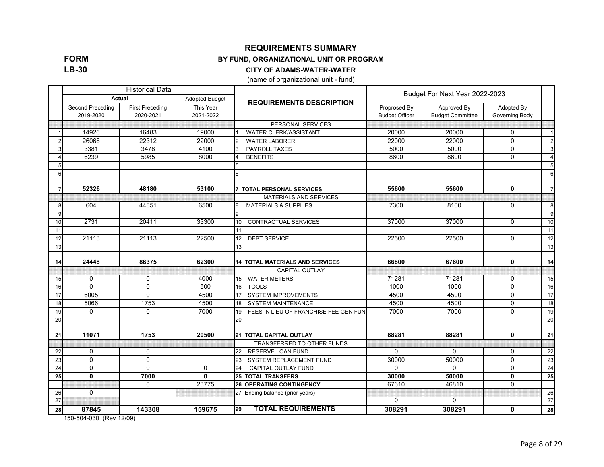**FORM LB-30**

#### **REQUIREMENTS SUMMARY**

#### **BY FUND, ORGANIZATIONAL UNIT OR PROGRAM**

#### **CITY OF ADAMS-WATER-WATER**

(name of organizational unit - fund)

|    |                               | <b>Historical Data</b>              |                        |                                             |                                       | Budget For Next Year 2022-2023         |                              |                |
|----|-------------------------------|-------------------------------------|------------------------|---------------------------------------------|---------------------------------------|----------------------------------------|------------------------------|----------------|
|    | Actual                        |                                     | <b>Adopted Budget</b>  | <b>REQUIREMENTS DESCRIPTION</b>             |                                       |                                        |                              |                |
|    | Second Preceding<br>2019-2020 | <b>First Preceding</b><br>2020-2021 | This Year<br>2021-2022 |                                             | Proprosed By<br><b>Budget Officer</b> | Approved By<br><b>Budget Committee</b> | Adopted By<br>Governing Body |                |
|    |                               |                                     |                        | PERSONAL SERVICES                           |                                       |                                        |                              |                |
|    | 14926                         | 16483                               | 19000                  | <b>WATER CLERK/ASSISTANT</b>                | 20000                                 | 20000                                  | $\Omega$                     | $\overline{1}$ |
|    | 26068                         | 22312                               | 22000                  | <b>WATER LABORER</b>                        | 22000                                 | 22000                                  | $\Omega$                     | 2              |
|    | 3381                          | 3478                                | 4100                   | <b>PAYROLL TAXES</b>                        | 5000                                  | 5000                                   | $\mathbf{0}$                 | $\mathbf{3}$   |
|    | 6239                          | 5985                                | 8000                   | <b>BENEFITS</b>                             | 8600                                  | 8600                                   | $\Omega$                     | $\overline{4}$ |
|    |                               |                                     |                        | 5                                           |                                       |                                        |                              | 5              |
| 6  |                               |                                     |                        | 6                                           |                                       |                                        |                              | 6              |
| 7  | 52326                         | 48180                               | 53100                  | <b>7 TOTAL PERSONAL SERVICES</b>            | 55600                                 | 55600                                  | 0                            | $\overline{7}$ |
|    |                               |                                     |                        | <b>MATERIALS AND SERVICES</b>               |                                       |                                        |                              |                |
| 8  | 604                           | 44851                               | 6500                   | <b>MATERIALS &amp; SUPPLIES</b><br>8        | 7300                                  | 8100                                   | $\mathbf{0}$                 | 8              |
| 9  |                               |                                     |                        | 9                                           |                                       |                                        |                              | 9              |
| 10 | 2731                          | 20411                               | 33300                  | <b>CONTRACTUAL SERVICES</b><br>10           | 37000                                 | 37000                                  | $\Omega$                     | 10             |
| 11 |                               |                                     |                        | 11                                          |                                       |                                        |                              | 11             |
| 12 | 21113                         | 21113                               | 22500                  | <b>DEBT SERVICE</b><br>12                   | 22500                                 | 22500                                  | $\mathbf 0$                  | 12             |
| 13 |                               |                                     |                        | 13                                          |                                       |                                        |                              | 13             |
| 14 | 24448                         | 86375                               | 62300                  | <b>14 TOTAL MATERIALS AND SERVICES</b>      | 66800                                 | 67600                                  | 0                            | 14             |
|    |                               |                                     |                        | <b>CAPITAL OUTLAY</b>                       |                                       |                                        |                              |                |
| 15 | $\mathbf 0$                   | $\mathbf 0$                         | 4000                   | <b>WATER METERS</b><br>15                   | 71281                                 | 71281                                  | $\mathbf 0$                  | 15             |
| 16 | $\mathbf{0}$                  | $\mathbf 0$                         | 500                    | <b>TOOLS</b><br>16                          | 1000                                  | 1000                                   | $\mathbf 0$                  | 16             |
| 17 | 6005                          | $\overline{0}$                      | 4500                   | <b>SYSTEM IMPROVEMENTS</b><br>17            | 4500                                  | 4500                                   | $\overline{0}$               | 17             |
| 18 | 5066                          | 1753                                | 4500                   | <b>SYSTEM MAINTENANCE</b><br>18             | 4500                                  | 4500                                   | $\overline{0}$               | 18             |
| 19 | $\mathbf{0}$                  | $\Omega$                            | 7000                   | FEES IN LIEU OF FRANCHISE FEE GEN FUN<br>19 | 7000                                  | 7000                                   | $\Omega$                     | 19             |
| 20 |                               |                                     |                        | 20                                          |                                       |                                        |                              | 20             |
| 21 | 11071                         | 1753                                | 20500                  | 21 TOTAL CAPITAL OUTLAY                     | 88281                                 | 88281                                  | 0                            | 21             |
|    |                               |                                     |                        | TRANSFERRED TO OTHER FUNDS                  |                                       |                                        |                              |                |
| 22 | $\mathbf 0$                   | 0                                   |                        | 22 RESERVE LOAN FUND                        | 0                                     | $\mathbf{0}$                           | 0                            | 22             |
| 23 | $\mathbf{0}$                  | $\Omega$                            |                        | SYSTEM REPLACEMENT FUND<br>23               | 30000                                 | 50000                                  | $\mathbf 0$                  | 23             |
| 24 | $\mathbf 0$                   | $\Omega$                            | $\mathbf 0$            | <b>CAPITAL OUTLAY FUND</b><br>24            | $\Omega$                              | $\Omega$                               | $\mathbf 0$                  | 24             |
| 25 | $\mathbf{0}$                  | 7000                                | $\mathbf{0}$           | <b>25 TOTAL TRANSFERS</b>                   | 30000                                 | 50000                                  | $\mathbf{0}$                 | 25             |
|    |                               | $\Omega$                            | 23775                  | <b>26 OPERATING CONTINGENCY</b>             | 67610                                 | 46810                                  | $\Omega$                     |                |
| 26 | $\mathbf{0}$                  |                                     |                        | 27 Ending balance (prior years)             |                                       |                                        |                              | 26             |
| 27 |                               |                                     |                        |                                             | $\Omega$                              | $\mathbf{0}$                           |                              | 27             |
| 28 | 87845                         | 143308                              | 159675                 | <b>TOTAL REQUIREMENTS</b><br>29             | 308291                                | 308291                                 | 0                            | 28             |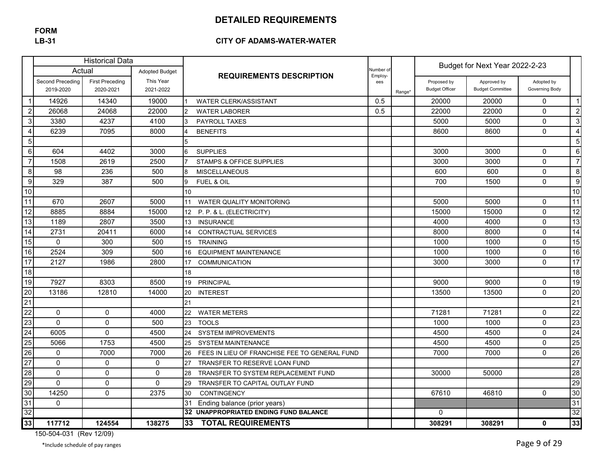## **FORM**

#### **LB-31 CITY OF ADAMS-WATER-WATER**

|                  |                  | <b>Historical Data</b> |                       |                                                     |                      |        |                       | Budget for Next Year 2022-2-23 |                |                 |
|------------------|------------------|------------------------|-----------------------|-----------------------------------------------------|----------------------|--------|-----------------------|--------------------------------|----------------|-----------------|
|                  | Actual           |                        | <b>Adopted Budget</b> | <b>REQUIREMENTS DESCRIPTION</b>                     | Number of<br>Employ- |        |                       |                                |                |                 |
|                  | Second Preceding | <b>First Preceding</b> | This Year             |                                                     | ees                  |        | Proposed by           | Approved by                    | Adopted by     |                 |
|                  | 2019-2020        | 2020-2021              | 2021-2022             |                                                     |                      | Range* | <b>Budget Officer</b> | <b>Budget Committee</b>        | Governing Body |                 |
| $\mathbf 1$      | 14926            | 14340                  | 19000                 | <b>WATER CLERK/ASSISTANT</b>                        | 0.5                  |        | 20000                 | 20000                          | $\mathbf{0}$   | $\mathbf{1}$    |
| $\sqrt{2}$       | 26068            | 24068                  | 22000                 | <b>WATER LABORER</b>                                | 0.5                  |        | 22000                 | 22000                          | $\mathbf 0$    | $\overline{c}$  |
| $\mathbf{3}$     | 3380             | 4237                   | 4100                  | <b>PAYROLL TAXES</b>                                |                      |        | 5000                  | 5000                           | $\Omega$       | 3               |
| $\overline{4}$   | 6239             | 7095                   | 8000                  | <b>BENEFITS</b>                                     |                      |        | 8600                  | 8600                           | $\Omega$       | $\overline{4}$  |
| $\overline{5}$   |                  |                        |                       | 5                                                   |                      |        |                       |                                |                | 5               |
| $\,6$            | 604              | 4402                   | 3000                  | <b>SUPPLIES</b><br>6                                |                      |        | 3000                  | 3000                           | $\mathbf 0$    | $6\phantom{1}6$ |
| $\boldsymbol{7}$ | 1508             | 2619                   | 2500                  | <b>STAMPS &amp; OFFICE SUPPLIES</b>                 |                      |        | 3000                  | 3000                           | $\mathbf 0$    | $\overline{7}$  |
| $\bf 8$          | 98               | 236                    | 500                   | <b>MISCELLANEOUS</b><br>8                           |                      |        | 600                   | 600                            | $\mathbf 0$    | 8               |
| $\boldsymbol{9}$ | 329              | 387                    | 500                   | FUEL & OIL<br>9                                     |                      |        | 700                   | 1500                           | $\Omega$       | 9               |
| 10               |                  |                        |                       | 10                                                  |                      |        |                       |                                |                | 10              |
| 11               | 670              | 2607                   | 5000                  | 11<br>WATER QUALITY MONITORING                      |                      |        | 5000                  | 5000                           | $\mathbf 0$    | 11              |
| 12               | 8885             | 8884                   | 15000                 | P. P. & L. (ELECTRICITY)<br>12                      |                      |        | 15000                 | 15000                          | $\mathbf 0$    | 12              |
| 13               | 1189             | 2807                   | 3500                  | <b>INSURANCE</b><br>13                              |                      |        | 4000                  | 4000                           | $\mathbf 0$    | 13              |
| 14               | 2731             | 20411                  | 6000                  | CONTRACTUAL SERVICES<br>14                          |                      |        | 8000                  | 8000                           | $\mathbf 0$    | $\overline{14}$ |
| 15               | $\mathbf{0}$     | 300                    | 500                   | <b>TRAINING</b><br>15                               |                      |        | 1000                  | 1000                           | $\mathbf 0$    | 15              |
| 16               | 2524             | 309                    | 500                   | 16<br><b>EQUIPMENT MAINTENANCE</b>                  |                      |        | 1000                  | 1000                           | $\mathbf 0$    | 16              |
| 17               | 2127             | 1986                   | 2800                  | 17<br><b>COMMUNICATION</b>                          |                      |        | 3000                  | 3000                           | $\mathbf 0$    | 17              |
| 18               |                  |                        |                       | 18                                                  |                      |        |                       |                                |                | $\overline{18}$ |
| 19               | 7927             | 8303                   | 8500                  | PRINCIPAL<br>19                                     |                      |        | 9000                  | 9000                           | $\mathbf{0}$   | 19              |
| 20               | 13186            | 12810                  | 14000                 | 20<br><b>INTEREST</b>                               |                      |        | 13500                 | 13500                          | $\mathbf{0}$   | $\overline{20}$ |
| $\frac{1}{21}$   |                  |                        |                       | 21                                                  |                      |        |                       |                                |                | 21              |
| 22               | $\mathbf 0$      | $\mathbf 0$            | 4000                  | 22<br><b>WATER METERS</b>                           |                      |        | 71281                 | 71281                          | $\mathbf 0$    | $\overline{22}$ |
| 23               | $\mathbf{0}$     | $\Omega$               | 500                   | 23<br><b>TOOLS</b>                                  |                      |        | 1000                  | 1000                           | $\Omega$       | 23              |
| 24               | 6005             | $\mathbf 0$            | 4500                  | <b>SYSTEM IMPROVEMENTS</b><br>24                    |                      |        | 4500                  | 4500                           | $\Omega$       | 24              |
| 25               | 5066             | 1753                   | 4500                  | <b>SYSTEM MAINTENANCE</b><br>25                     |                      |        | 4500                  | 4500                           | $\Omega$       | 25              |
| 26               | $\mathbf 0$      | 7000                   | 7000                  | 26<br>FEES IN LIEU OF FRANCHISE FEE TO GENERAL FUND |                      |        | 7000                  | 7000                           | $\Omega$       | 26              |
| $\overline{27}$  | $\mathbf 0$      | $\mathbf 0$            | 0                     | 27<br>TRANSFER TO RESERVE LOAN FUND                 |                      |        |                       |                                |                | 27              |
| 28               | 0                | $\mathbf 0$            | 0                     | TRANSFER TO SYSTEM REPLACEMENT FUND<br>28           |                      |        | 30000                 | 50000                          |                | $\overline{28}$ |
| 29               | $\Omega$         | $\mathbf{0}$           | 0                     | TRANSFER TO CAPITAL OUTLAY FUND<br>29               |                      |        |                       |                                |                | 29              |
| 30               | 14250            | $\mathbf{0}$           | 2375                  | 30<br><b>CONTINGENCY</b>                            |                      |        | 67610                 | 46810                          | $\mathbf{0}$   | 30              |
| 31               | $\mathbf 0$      |                        |                       | 31<br>Ending balance (prior years)                  |                      |        |                       |                                |                | 31              |
| 32               |                  |                        |                       | 32 UNAPPROPRIATED ENDING FUND BALANCE               |                      |        | $\Omega$              |                                |                | 32              |
| 33               | 117712           | 124554                 | 138275                | <b>TOTAL REQUIREMENTS</b><br>33                     |                      |        | 308291                | 308291                         | $\mathbf{0}$   | 33              |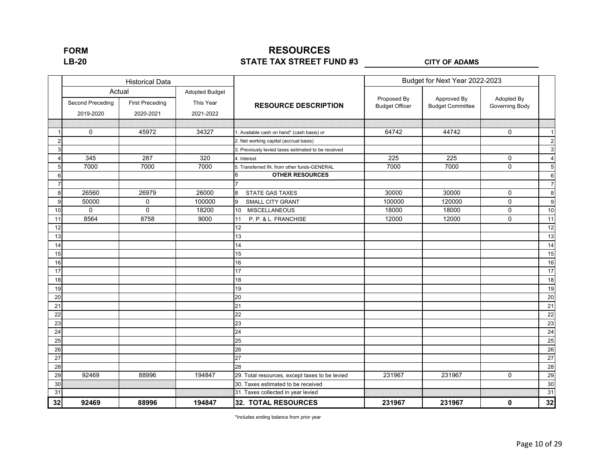## **RESOURCES STATE TAX STREET FUND #3 LB-20 CITY OF ADAMS**

|    |                  | <b>Historical Data</b>           |                                    |                                                     |                       | Budget for Next Year 2022-2023 |                |                         |
|----|------------------|----------------------------------|------------------------------------|-----------------------------------------------------|-----------------------|--------------------------------|----------------|-------------------------|
|    | Second Preceding | Actual<br><b>First Preceding</b> | <b>Adopted Budget</b><br>This Year |                                                     | Proposed By           | Approved By                    | Adopted By     |                         |
|    | 2019-2020        | 2020-2021                        | 2021-2022                          | <b>RESOURCE DESCRIPTION</b>                         | <b>Budget Officer</b> | <b>Budget Committee</b>        | Governing Body |                         |
|    |                  |                                  |                                    |                                                     |                       |                                |                |                         |
|    | $\mathbf 0$      | 45972                            | 34327                              | 1. Available cash on hand* (cash basis) or          | 64742                 | 44742                          | $\mathbf 0$    | $\mathbf{1}$            |
| 2  |                  |                                  |                                    | 2. Net working capital (accrual basis)              |                       |                                |                | $\overline{2}$          |
| 3  |                  |                                  |                                    | 3. Previously levied taxes estimated to be received |                       |                                |                | $\mathsf 3$             |
|    | 345              | 287                              | 320                                | 4. Interest                                         | 225                   | 225                            | 0              | $\overline{\mathbf{4}}$ |
| 5  | 7000             | 7000                             | 7000                               | 5. Transferred IN, from other funds-GENERAL         | 7000                  | 7000                           | $\mathbf 0$    | 5                       |
| 6  |                  |                                  |                                    | <b>OTHER RESOURCES</b><br>6                         |                       |                                |                | $6\phantom{1}6$         |
| 7  |                  |                                  |                                    |                                                     |                       |                                |                | $\overline{7}$          |
| 8  | 26560            | 26979                            | 26000                              | <b>STATE GAS TAXES</b><br>8                         | 30000                 | 30000                          | $\mathbf 0$    | 8                       |
| 9  | 50000            | 0                                | 100000                             | <b>SMALL CITY GRANT</b><br>9                        | 100000                | 120000                         | 0              | 9                       |
| 10 | $\mathbf 0$      | $\mathbf 0$                      | 18200                              | <b>MISCELLANEOUS</b><br>10 <sup>°</sup>             | 18000                 | 18000                          | 0              | 10                      |
| 11 | 8564             | 8758                             | 9000                               | P. P. & L. FRANCHISE<br>11                          | 12000                 | 12000                          | $\mathbf 0$    | 11                      |
| 12 |                  |                                  |                                    | 12                                                  |                       |                                |                | 12                      |
| 13 |                  |                                  |                                    | 13                                                  |                       |                                |                | 13                      |
| 14 |                  |                                  |                                    | $\overline{14}$                                     |                       |                                |                | 14                      |
| 15 |                  |                                  |                                    | 15                                                  |                       |                                |                | 15                      |
| 16 |                  |                                  |                                    | 16                                                  |                       |                                |                | 16                      |
| 17 |                  |                                  |                                    | 17                                                  |                       |                                |                | 17                      |
| 18 |                  |                                  |                                    | 18                                                  |                       |                                |                | 18                      |
| 19 |                  |                                  |                                    | 19                                                  |                       |                                |                | 19                      |
| 20 |                  |                                  |                                    | 20                                                  |                       |                                |                | 20                      |
| 21 |                  |                                  |                                    | 21                                                  |                       |                                |                | 21                      |
| 22 |                  |                                  |                                    | 22                                                  |                       |                                |                | 22                      |
| 23 |                  |                                  |                                    | 23                                                  |                       |                                |                | 23                      |
| 24 |                  |                                  |                                    | 24                                                  |                       |                                |                | 24                      |
| 25 |                  |                                  |                                    | 25                                                  |                       |                                |                | 25                      |
| 26 |                  |                                  |                                    | 26                                                  |                       |                                |                | 26                      |
| 27 |                  |                                  |                                    | 27                                                  |                       |                                |                | 27                      |
| 28 |                  |                                  |                                    | 28                                                  |                       |                                |                | 28                      |
| 29 | 92469            | 88996                            | 194847                             | 29. Total resources, except taxes to be levied      | 231967                | 231967                         | 0              | 29                      |
| 30 |                  |                                  |                                    | 30. Taxes estimated to be received                  |                       |                                |                | 30                      |
| 31 |                  |                                  |                                    | 31. Taxes collected in year levied                  |                       |                                |                | 31                      |
| 32 | 92469            | 88996                            | 194847                             | <b>32. TOTAL RESOURCES</b>                          | 231967                | 231967                         | $\mathbf 0$    | 32                      |

\*Includes ending balance from prior year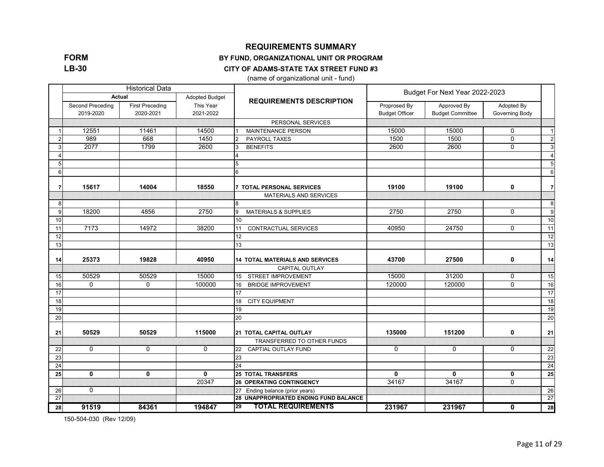**FORM LB-30**

#### **REQUIREMENTS SUMMARY**

#### **BY FUND, ORGANIZATIONAL UNIT OR PROGRAM**

#### **CITY OF ADAMS-STATE TAX STREET FUND #3**

(name of organizational unit - fund)

|    |                               | <b>Historical Data</b>              |                        |                                        | Budget For Next Year 2022-2023        |                                        |                              |                 |  |
|----|-------------------------------|-------------------------------------|------------------------|----------------------------------------|---------------------------------------|----------------------------------------|------------------------------|-----------------|--|
|    | Actual                        |                                     | <b>Adopted Budget</b>  | <b>REQUIREMENTS DESCRIPTION</b>        |                                       |                                        |                              |                 |  |
|    | Second Preceding<br>2019-2020 | <b>First Preceding</b><br>2020-2021 | This Year<br>2021-2022 |                                        | Proprosed By<br><b>Budget Officer</b> | Approved By<br><b>Budget Committee</b> | Adopted By<br>Governing Body |                 |  |
|    |                               |                                     |                        | PERSONAL SERVICES                      |                                       |                                        |                              |                 |  |
|    | 12551                         | 11461                               | 14500                  | <b>MAINTENANCE PERSON</b>              | 15000                                 | 15000                                  | 0                            | $\overline{1}$  |  |
|    | 989                           | 668                                 | 1450                   | PAYROLL TAXES                          | 1500                                  | 1500                                   | $\mathbf 0$                  | $\overline{c}$  |  |
| 3  | 2077                          | 1799                                | 2600                   | <b>BENEFITS</b>                        | 2600                                  | 2600                                   | $\Omega$                     | $\mathbf{3}$    |  |
|    |                               |                                     |                        | $\overline{4}$                         |                                       |                                        |                              | $\overline{4}$  |  |
| 5  |                               |                                     |                        | 5                                      |                                       |                                        |                              | 5               |  |
| 6  |                               |                                     |                        | 6                                      |                                       |                                        |                              | 6               |  |
| 7  | 15617                         | 14004                               | 18550                  | <b>7 TOTAL PERSONAL SERVICES</b>       | 19100                                 | 19100                                  | 0                            | $\overline{7}$  |  |
|    |                               |                                     |                        | MATERIALS AND SERVICES                 |                                       |                                        |                              |                 |  |
| 8  |                               |                                     |                        | 8                                      |                                       |                                        |                              | 8               |  |
| 9  | 18200                         | 4856                                | 2750                   | <b>MATERIALS &amp; SUPPLIES</b><br>9   | 2750                                  | 2750                                   | $\Omega$                     | 9               |  |
| 10 |                               |                                     |                        | 10                                     |                                       |                                        |                              | 10              |  |
| 11 | 7173                          | 14972                               | 38200                  | <b>CONTRACTUAL SERVICES</b><br>11      | 40950                                 | 24750                                  | $\Omega$                     | 11              |  |
| 12 |                               |                                     |                        | 12                                     |                                       |                                        |                              | 12              |  |
| 13 |                               |                                     |                        | 13                                     |                                       |                                        |                              | 13              |  |
| 14 | 25373                         | 19828                               | 40950                  | <b>14 TOTAL MATERIALS AND SERVICES</b> | 43700                                 | 27500                                  | 0                            | 14              |  |
|    |                               |                                     |                        | <b>CAPITAL OUTLAY</b>                  |                                       |                                        |                              |                 |  |
| 15 | 50529                         | 50529                               | 15000                  | <b>STREET IMPROVEMENT</b><br>15        | 15000                                 | 31200                                  | 0                            | 15              |  |
| 16 | 0                             | 0                                   | 100000                 | <b>BRIDGE IMPROVEMENT</b><br>16        | 120000                                | 120000                                 | $\mathbf 0$                  | 16              |  |
| 17 |                               |                                     |                        | 17                                     |                                       |                                        |                              | 17              |  |
| 18 |                               |                                     |                        | <b>CITY EQUIPMENT</b><br>18            |                                       |                                        |                              | 18              |  |
| 19 |                               |                                     |                        | 19                                     |                                       |                                        |                              | 19              |  |
| 20 |                               |                                     |                        | 20                                     |                                       |                                        |                              | 20              |  |
| 21 | 50529                         | 50529                               | 115000                 | <b>21 TOTAL CAPITAL OUTLAY</b>         | 135000                                | 151200                                 | 0                            | 21              |  |
|    |                               |                                     |                        | TRANSFERRED TO OTHER FUNDS             |                                       |                                        |                              |                 |  |
| 22 | $\mathbf 0$                   | $\mathbf 0$                         | $\mathbf 0$            | CAPTIAL OUTLAY FUND<br>22              | $\Omega$                              | $\mathbf 0$                            | $\mathbf 0$                  | 22              |  |
| 23 |                               |                                     |                        | 23                                     |                                       |                                        |                              | 23              |  |
| 24 |                               |                                     |                        | 24                                     |                                       |                                        |                              | $\overline{24}$ |  |
| 25 | $\mathbf{0}$                  | 0                                   | $\mathbf{0}$           | <b>25 TOTAL TRANSFERS</b>              | $\mathbf{0}$                          | $\mathbf{0}$                           | $\mathbf{0}$                 | 25              |  |
|    |                               |                                     | 20347                  | <b>26 OPERATING CONTINGENCY</b>        | 34167                                 | 34167                                  | $\Omega$                     |                 |  |
| 26 | $\mathbf 0$                   |                                     |                        | 27 Ending balance (prior years)        |                                       |                                        |                              | 26              |  |
| 27 |                               |                                     |                        | 28 UNAPPROPRIATED ENDING FUND BALANCE  |                                       |                                        |                              | 27              |  |
| 28 | 91519                         | 84361                               | 194847                 | <b>TOTAL REQUIREMENTS</b><br>29        | 231967                                | 231967                                 | 0                            | 28              |  |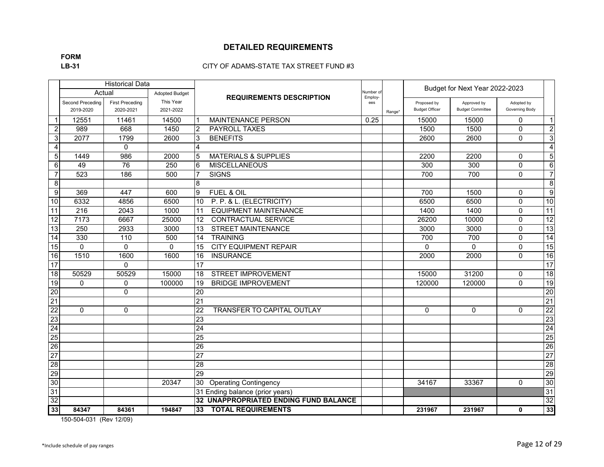## **FORM**

#### **LB-31** CITY OF ADAMS-STATE TAX STREET FUND #3

|                 |                  | <b>Historical Data</b> |                       |                 |                                              |                     |        |                       | Budget for Next Year 2022-2023 |                |                         |
|-----------------|------------------|------------------------|-----------------------|-----------------|----------------------------------------------|---------------------|--------|-----------------------|--------------------------------|----------------|-------------------------|
|                 |                  | Actual                 | <b>Adopted Budget</b> |                 | <b>REQUIREMENTS DESCRIPTION</b>              | Number o<br>Employ- |        |                       |                                |                |                         |
|                 | Second Preceding | <b>First Preceding</b> | This Year             |                 |                                              | ees                 |        | Proposed by           | Approved by                    | Adopted by     |                         |
|                 | 2019-2020        | 2020-2021              | 2021-2022             |                 |                                              |                     | Range* | <b>Budget Officer</b> | <b>Budget Committee</b>        | Governing Body |                         |
| $\mathbf 1$     | 12551            | 11461                  | 14500                 | ∣1              | <b>MAINTENANCE PERSON</b>                    | 0.25                |        | 15000                 | 15000                          | $\mathbf{0}$   | $\vert$ 1               |
| 2               | 989              | 668                    | 1450                  | $\overline{2}$  | <b>PAYROLL TAXES</b>                         |                     |        | 1500                  | 1500                           | $\mathbf{0}$   | $\overline{2}$          |
| $\mathbf{3}$    | 2077             | 1799                   | 2600                  | 3               | <b>BENEFITS</b>                              |                     |        | 2600                  | 2600                           | $\Omega$       | 3 <sup>1</sup>          |
| $\overline{4}$  |                  | $\Omega$               |                       | $\overline{4}$  |                                              |                     |        |                       |                                |                | $\overline{\mathbf{4}}$ |
| 5 <sub>l</sub>  | 1449             | 986                    | 2000                  | 5               | <b>MATERIALS &amp; SUPPLIES</b>              |                     |        | 2200                  | 2200                           | $\mathbf{0}$   | 5                       |
| $6 \mid$        | 49               | 76                     | 250                   | 6               | <b>MISCELLANEOUS</b>                         |                     |        | 300                   | 300                            | $\mathbf{0}$   | $6 \mid$                |
| $\overline{7}$  | 523              | 186                    | 500                   | 7               | <b>SIGNS</b>                                 |                     |        | 700                   | 700                            | $\pmb{0}$      | $\overline{7}$          |
| 8               |                  |                        |                       | 8               |                                              |                     |        |                       |                                |                | 8 <sup>1</sup>          |
| 9               | 369              | 447                    | 600                   | 9               | FUEL & OIL                                   |                     |        | 700                   | 1500                           | $\mathbf{0}$   | 9                       |
| 10              | 6332             | 4856                   | 6500                  | 10              | P. P. & L. (ELECTRICITY)                     |                     |        | 6500                  | 6500                           | $\mathbf{0}$   | 10                      |
| $\overline{11}$ | $\overline{216}$ | 2043                   | 1000                  | 11              | <b>EQUIPMENT MAINTENANCE</b>                 |                     |        | 1400                  | 1400                           | $\pmb{0}$      | 11                      |
| 12              | 7173             | 6667                   | 25000                 | $\overline{12}$ | <b>CONTRACTUAL SERVICE</b>                   |                     |        | 26200                 | 10000                          | $\pmb{0}$      | 12                      |
| 13              | 250              | 2933                   | 3000                  | 13              | <b>STREET MAINTENANCE</b>                    |                     |        | 3000                  | 3000                           | $\Omega$       | 13                      |
| 14              | 330              | 110                    | 500                   | 14              | <b>TRAINING</b>                              |                     |        | 700                   | 700                            | $\pmb{0}$      | 14                      |
| 15              | $\mathbf{0}$     | $\Omega$               | $\Omega$              | 15              | <b>CITY EQUIPMENT REPAIR</b>                 |                     |        | $\Omega$              | $\Omega$                       | $\pmb{0}$      | 15                      |
| 16              | 1510             | 1600                   | 1600                  | 16              | <b>INSURANCE</b>                             |                     |        | 2000                  | 2000                           | $\mathbf{0}$   | 16                      |
| 17              |                  | $\Omega$               |                       | 17              |                                              |                     |        |                       |                                |                | $\overline{17}$         |
| 18              | 50529            | 50529                  | 15000                 | 18              | STREET IMPROVEMENT                           |                     |        | 15000                 | 31200                          | $\mathbf 0$    | 18                      |
| 19              | $\mathbf 0$      | 0                      | 100000                | 19              | <b>BRIDGE IMPROVEMENT</b>                    |                     |        | 120000                | 120000                         | $\Omega$       | 19                      |
| 20              |                  | $\Omega$               |                       | 20              |                                              |                     |        |                       |                                |                | 20                      |
| 21              |                  |                        |                       | $\overline{21}$ |                                              |                     |        |                       |                                |                | $\overline{21}$         |
| 22              | $\Omega$         | $\Omega$               |                       | $\overline{22}$ | TRANSFER TO CAPITAL OUTLAY                   |                     |        | 0                     | $\Omega$                       | $\mathbf{0}$   | $\overline{22}$         |
| 23              |                  |                        |                       | 23              |                                              |                     |        |                       |                                |                | 23                      |
| 24              |                  |                        |                       | 24              |                                              |                     |        |                       |                                |                | 24                      |
| 25              |                  |                        |                       | 25              |                                              |                     |        |                       |                                |                | 25                      |
| 26              |                  |                        |                       | $\overline{26}$ |                                              |                     |        |                       |                                |                | 26                      |
| 27              |                  |                        |                       | $\overline{27}$ |                                              |                     |        |                       |                                |                | $\overline{27}$         |
| 28              |                  |                        |                       | 28              |                                              |                     |        |                       |                                |                | $\overline{28}$         |
| 29              |                  |                        |                       | 29              |                                              |                     |        |                       |                                |                | 29                      |
| 30              |                  |                        | 20347                 | 30              | <b>Operating Contingency</b>                 |                     |        | 34167                 | 33367                          | $\Omega$       | 30                      |
| 31              |                  |                        |                       |                 | 31 Ending balance (prior years)              |                     |        |                       |                                |                | 31                      |
| 32              |                  |                        |                       |                 | <b>32 UNAPPROPRIATED ENDING FUND BALANCE</b> |                     |        |                       |                                |                | 32                      |
| 33              | 84347            | 84361                  | 194847                | 33              | <b>TOTAL REQUIREMENTS</b>                    |                     |        | 231967                | 231967                         | $\mathbf 0$    | 33                      |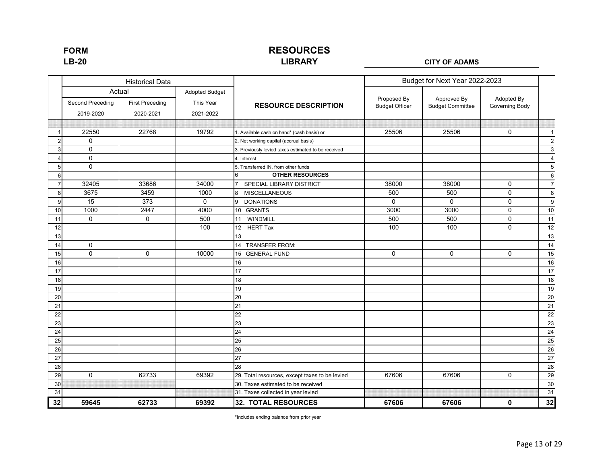### **RESOURCES LIBRARY**

#### **LB-20 CITY OF ADAMS**

|                |                     | <b>Historical Data</b>           |                             |                                                     | Budget for Next Year 2022-2023       |                                        |                              |                 |
|----------------|---------------------|----------------------------------|-----------------------------|-----------------------------------------------------|--------------------------------------|----------------------------------------|------------------------------|-----------------|
|                | Second Preceding    | Actual<br><b>First Preceding</b> | Adopted Budget<br>This Year | <b>RESOURCE DESCRIPTION</b>                         | Proposed By<br><b>Budget Officer</b> | Approved By<br><b>Budget Committee</b> | Adopted By<br>Governing Body |                 |
|                | 2019-2020           | 2020-2021                        | 2021-2022                   |                                                     |                                      |                                        |                              |                 |
|                |                     |                                  |                             |                                                     |                                      |                                        |                              |                 |
|                | 22550               | 22768                            | 19792                       | 1. Available cash on hand* (cash basis) or          | 25506                                | 25506                                  | $\mathbf 0$                  | $\mathbf{1}$    |
| $\overline{2}$ | $\mathbf 0$         |                                  |                             | 2. Net working capital (accrual basis)              |                                      |                                        |                              | $\overline{c}$  |
| 3              | $\mathsf{O}\xspace$ |                                  |                             | 3. Previously levied taxes estimated to be received |                                      |                                        |                              | $\mathsf 3$     |
| Δ              | $\mathsf{O}\xspace$ |                                  |                             | 4. Interest                                         |                                      |                                        |                              | $\overline{4}$  |
| 5              | $\mathbf 0$         |                                  |                             | 5. Transferred IN, from other funds                 |                                      |                                        |                              | $\sqrt{5}$      |
| 6              |                     |                                  |                             | <b>OTHER RESOURCES</b><br>6                         |                                      |                                        |                              | $6\phantom{1}6$ |
| 7              | 32405               | 33686                            | 34000                       | SPECIAL LIBRARY DISTRICT                            | 38000                                | 38000                                  | $\mathsf{O}\xspace$          | $\overline{7}$  |
| 8              | 3675                | 3459                             | 1000                        | 8 MISCELLANEOUS                                     | 500                                  | 500                                    | 0                            | 8               |
| 9              | 15                  | 373                              | 0                           | 9<br><b>DONATIONS</b>                               | 0                                    | $\Omega$                               | 0                            | 9               |
| 10             | 1000                | 2447                             | 4000                        | 10 GRANTS                                           | 3000                                 | 3000                                   | $\mathsf{O}\xspace$          | 10              |
| 11             | $\mathbf 0$         | $\mathbf 0$                      | 500                         | WINDMILL<br>11                                      | 500                                  | 500                                    | $\mathbf 0$                  | 11              |
| 12             |                     |                                  | 100                         | <b>HERT Tax</b><br>12                               | 100                                  | 100                                    | $\mathbf 0$                  | 12              |
| 13             |                     |                                  |                             | 13                                                  |                                      |                                        |                              | 13              |
| 14             | $\mathbf 0$         |                                  |                             | 14 TRANSFER FROM:                                   |                                      |                                        |                              | 14              |
| 15             | $\mathbf 0$         | $\mathbf 0$                      | 10000                       | <b>GENERAL FUND</b><br>15                           | 0                                    | $\mathbf 0$                            | $\mathbf 0$                  | 15              |
| 16             |                     |                                  |                             | 16                                                  |                                      |                                        |                              | 16              |
| 17             |                     |                                  |                             | 17                                                  |                                      |                                        |                              | 17              |
| 18             |                     |                                  |                             | 18                                                  |                                      |                                        |                              | 18              |
| 19             |                     |                                  |                             | 19                                                  |                                      |                                        |                              | 19              |
| 20             |                     |                                  |                             | 20                                                  |                                      |                                        |                              | 20              |
| 21             |                     |                                  |                             | 21                                                  |                                      |                                        |                              | 21              |
| 22             |                     |                                  |                             | 22                                                  |                                      |                                        |                              | 22              |
| 23             |                     |                                  |                             | 23                                                  |                                      |                                        |                              | 23              |
| 24             |                     |                                  |                             | 24                                                  |                                      |                                        |                              | 24              |
| 25             |                     |                                  |                             | 25                                                  |                                      |                                        |                              | 25              |
| 26             |                     |                                  |                             | 26                                                  |                                      |                                        |                              | 26              |
| 27             |                     |                                  |                             | 27                                                  |                                      |                                        |                              | 27              |
| 28             |                     |                                  |                             | 28                                                  |                                      |                                        |                              | 28              |
| 29             | $\mathbf 0$         | 62733                            | 69392                       | 29. Total resources, except taxes to be levied      | 67606                                | 67606                                  | 0                            | 29              |
| 30             |                     |                                  |                             | 30. Taxes estimated to be received                  |                                      |                                        |                              | 30              |
| 31             |                     |                                  |                             | 31. Taxes collected in year levied                  |                                      |                                        |                              | 31              |
| 32             | 59645               | 62733                            | 69392                       | <b>32. TOTAL RESOURCES</b>                          | 67606                                | 67606                                  | $\mathbf 0$                  | 32              |

\*Includes ending balance from prior year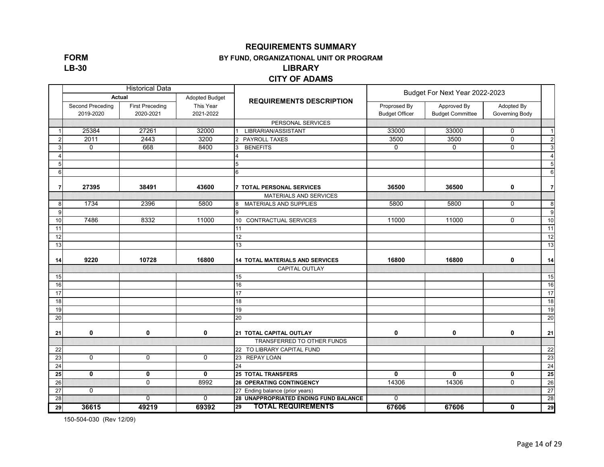**FORM LB-30**

#### **REQUIREMENTS SUMMARY**

#### **BY FUND, ORGANIZATIONAL UNIT OR PROGRAM**

#### **LIBRARY**

#### **CITY OF ADAMS**

|    |                               | <b>Historical Data</b>              |                        |                                        | Budget For Next Year 2022-2023        |                                        |                              |                |
|----|-------------------------------|-------------------------------------|------------------------|----------------------------------------|---------------------------------------|----------------------------------------|------------------------------|----------------|
|    | Actual                        |                                     | <b>Adopted Budget</b>  | <b>REQUIREMENTS DESCRIPTION</b>        |                                       |                                        |                              |                |
|    | Second Preceding<br>2019-2020 | <b>First Preceding</b><br>2020-2021 | This Year<br>2021-2022 |                                        | Proprosed By<br><b>Budget Officer</b> | Approved By<br><b>Budget Committee</b> | Adopted By<br>Governing Body |                |
|    |                               |                                     |                        | PERSONAL SERVICES                      |                                       |                                        |                              |                |
|    | 25384                         | 27261                               | 32000                  | LIBRARIAN/ASSISTANT                    | 33000                                 | 33000                                  | 0                            | $\vert$        |
|    | 2011                          | 2443                                | 3200                   | PAYROLL TAXES<br>$\overline{2}$        | 3500                                  | 3500                                   | $\mathbf 0$                  | $\overline{2}$ |
| 3  | $\mathbf 0$                   | 668                                 | 8400                   | <b>BENEFITS</b><br>3                   | $\Omega$                              | $\mathbf 0$                            | $\mathbf 0$                  | 3              |
|    |                               |                                     |                        | 4                                      |                                       |                                        |                              | $\overline{4}$ |
| 5  |                               |                                     |                        | 5                                      |                                       |                                        |                              | 5              |
| 6  |                               |                                     |                        | 6                                      |                                       |                                        |                              | 6              |
| 7  | 27395                         | 38491                               | 43600                  | <b>7 TOTAL PERSONAL SERVICES</b>       | 36500                                 | 36500                                  | $\mathbf 0$                  | $\overline{7}$ |
|    |                               |                                     |                        | MATERIALS AND SERVICES                 |                                       |                                        |                              |                |
| 8  | 1734                          | 2396                                | 5800                   | MATERIALS AND SUPPLIES<br>8            | 5800                                  | 5800                                   | $\mathbf 0$                  | 8              |
| 9  |                               |                                     |                        | 9                                      |                                       |                                        |                              | 9              |
| 10 | 7486                          | 8332                                | 11000                  | 10 CONTRACTUAL SERVICES                | 11000                                 | 11000                                  | $\Omega$                     | 10             |
| 11 |                               |                                     |                        | 11                                     |                                       |                                        |                              | 11             |
| 12 |                               |                                     |                        | 12                                     |                                       |                                        |                              | 12             |
| 13 |                               |                                     |                        | 13                                     |                                       |                                        |                              | 13             |
| 14 | 9220                          | 10728                               | 16800                  | <b>14 TOTAL MATERIALS AND SERVICES</b> | 16800                                 | 16800                                  | $\mathbf 0$                  | 14             |
|    |                               |                                     |                        | CAPITAL OUTLAY                         |                                       |                                        |                              |                |
| 15 |                               |                                     |                        | 15                                     |                                       |                                        |                              | 15             |
| 16 |                               |                                     |                        | 16                                     |                                       |                                        |                              | 16             |
| 17 |                               |                                     |                        | 17                                     |                                       |                                        |                              | 17             |
| 18 |                               |                                     |                        | 18                                     |                                       |                                        |                              | 18             |
| 19 |                               |                                     |                        | 19                                     |                                       |                                        |                              | 19             |
| 20 |                               |                                     |                        | 20                                     |                                       |                                        |                              | 20             |
| 21 | $\mathbf 0$                   | $\mathbf{0}$                        | 0                      | 21 TOTAL CAPITAL OUTLAY                | $\mathbf 0$                           | $\mathbf{0}$                           | $\mathbf{0}$                 | 21             |
|    |                               |                                     |                        | TRANSFERRED TO OTHER FUNDS             |                                       |                                        |                              |                |
| 22 |                               |                                     |                        | 22 TO LIBRARY CAPITAL FUND             |                                       |                                        |                              | 22             |
| 23 | $\mathbf 0$                   | $\mathbf 0$                         | $\mathbf 0$            | 23 REPAY LOAN                          |                                       |                                        |                              | 23             |
| 24 |                               |                                     |                        | 24                                     |                                       |                                        |                              | 24             |
| 25 | $\mathbf 0$                   | $\mathbf 0$                         | $\mathbf 0$            | <b>25 TOTAL TRANSFERS</b>              | $\mathbf 0$                           | $\mathbf{0}$                           | $\mathbf 0$                  | 25             |
| 26 |                               | $\Omega$                            | 8992                   | <b>26 OPERATING CONTINGENCY</b>        | 14306                                 | 14306                                  | $\Omega$                     | 26             |
| 27 | $\mathbf 0$                   |                                     |                        | 27 Ending balance (prior years)        |                                       |                                        |                              | 27             |
| 28 |                               | $\overline{0}$                      | $\overline{0}$         | 28 UNAPPROPRIATED ENDING FUND BALANCE  | $\overline{0}$                        |                                        |                              | 28             |
| 29 | 36615                         | 49219                               | 69392                  | <b>TOTAL REQUIREMENTS</b><br>29        | 67606                                 | 67606                                  | $\mathbf{0}$                 | 29             |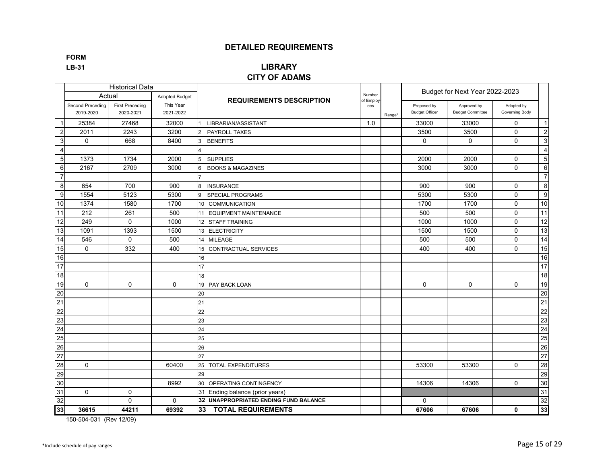**FORM**

## **LB-31 LIBRARY**

#### **CITY OF ADAMS**

|                  |                               | <b>Historical Data</b>              |                        |                                              |                     |        |                                      | Budget for Next Year 2022-2023         |                              |                         |
|------------------|-------------------------------|-------------------------------------|------------------------|----------------------------------------------|---------------------|--------|--------------------------------------|----------------------------------------|------------------------------|-------------------------|
|                  | Actual                        |                                     | <b>Adopted Budget</b>  | <b>REQUIREMENTS DESCRIPTION</b>              | Number<br>of Employ |        |                                      |                                        |                              |                         |
|                  | Second Preceding<br>2019-2020 | <b>First Preceding</b><br>2020-2021 | This Year<br>2021-2022 |                                              | ees                 | Range* | Proposed by<br><b>Budget Officer</b> | Approved by<br><b>Budget Committee</b> | Adopted by<br>Governing Body |                         |
| 1                | 25384                         | 27468                               | 32000                  | LIBRARIAN/ASSISTANT                          | 1.0                 |        | 33000                                | 33000                                  | $\mathbf 0$                  | $\vert$ 1               |
| $\boldsymbol{2}$ | 2011                          | 2243                                | 3200                   | <b>PAYROLL TAXES</b><br>2                    |                     |        | 3500                                 | 3500                                   | $\Omega$                     | $\overline{2}$          |
| 3                | $\Omega$                      | 668                                 | 8400                   | <b>BENEFITS</b><br>з                         |                     |        | $\Omega$                             | $\Omega$                               | $\Omega$                     | 3                       |
| $\overline{4}$   |                               |                                     |                        |                                              |                     |        |                                      |                                        |                              | $\overline{\mathbf{4}}$ |
| 5                | 1373                          | 1734                                | 2000                   | <b>SUPPLIES</b><br>5                         |                     |        | 2000                                 | 2000                                   | $\Omega$                     | $5\overline{)}$         |
| 6                | 2167                          | 2709                                | 3000                   | <b>BOOKS &amp; MAGAZINES</b><br>6            |                     |        | 3000                                 | 3000                                   | $\Omega$                     | $6 \overline{6}$        |
| $\overline{7}$   |                               |                                     |                        |                                              |                     |        |                                      |                                        |                              | $\overline{7}$          |
| 8                | 654                           | 700                                 | 900                    | <b>INSURANCE</b><br>8                        |                     |        | 900                                  | 900                                    | $\mathbf 0$                  | 8                       |
| $\boldsymbol{9}$ | 1554                          | 5123                                | 5300                   | <b>SPECIAL PROGRAMS</b><br>9                 |                     |        | 5300                                 | 5300                                   | $\Omega$                     | 9                       |
| 10               | 1374                          | 1580                                | 1700                   | 10 COMMUNICATION                             |                     |        | 1700                                 | 1700                                   | $\mathbf 0$                  | 10                      |
| $\overline{11}$  | 212                           | 261                                 | 500                    | 11 EQUIPMENT MAINTENANCE                     |                     |        | 500                                  | 500                                    | $\mathbf 0$                  | 11                      |
| $\overline{12}$  | 249                           | $\mathbf 0$                         | 1000                   | 12 STAFF TRAINING                            |                     |        | 1000                                 | 1000                                   | $\mathbf 0$                  | 12                      |
| 13               | 1091                          | 1393                                | 1500                   | 13 ELECTRICITY                               |                     |        | 1500                                 | 1500                                   | $\mathbf 0$                  | 13                      |
| 14               | 546                           | $\mathbf 0$                         | 500                    | 14 MILEAGE                                   |                     |        | 500                                  | 500                                    | $\mathbf 0$                  | 14                      |
| 15               | $\Omega$                      | 332                                 | 400                    | 15 CONTRACTUAL SERVICES                      |                     |        | 400                                  | 400                                    | $\Omega$                     | 15                      |
| 16               |                               |                                     |                        | 16                                           |                     |        |                                      |                                        |                              | 16                      |
| 17               |                               |                                     |                        | 17                                           |                     |        |                                      |                                        |                              | 17                      |
| 18               |                               |                                     |                        | 18                                           |                     |        |                                      |                                        |                              | 18                      |
| 19               | $\Omega$                      | $\mathbf 0$                         | $\mathbf 0$            | 19 PAY BACK LOAN                             |                     |        | $\mathbf 0$                          | $\mathbf 0$                            | $\mathbf{0}$                 | 19                      |
| 20               |                               |                                     |                        | 20                                           |                     |        |                                      |                                        |                              | 20                      |
| 21               |                               |                                     |                        | 21                                           |                     |        |                                      |                                        |                              | 21                      |
| 22               |                               |                                     |                        | 22                                           |                     |        |                                      |                                        |                              | 22                      |
| 23               |                               |                                     |                        | 23                                           |                     |        |                                      |                                        |                              | 23                      |
| 24               |                               |                                     |                        | 24                                           |                     |        |                                      |                                        |                              | 24                      |
| 25               |                               |                                     |                        | 25                                           |                     |        |                                      |                                        |                              | 25                      |
| 26               |                               |                                     |                        | 26                                           |                     |        |                                      |                                        |                              | 26                      |
| 27               |                               |                                     |                        | 27                                           |                     |        |                                      |                                        |                              | 27                      |
| $\overline{28}$  | $\Omega$                      |                                     | 60400                  | 25 TOTAL EXPENDITURES                        |                     |        | 53300                                | 53300                                  | $\Omega$                     | 28                      |
| 29               |                               |                                     |                        | 29                                           |                     |        |                                      |                                        |                              | 29                      |
| 30               |                               |                                     | 8992                   | 30 OPERATING CONTINGENCY                     |                     |        | 14306                                | 14306                                  | 0                            | 30                      |
| 31               | $\Omega$                      | $\mathbf 0$                         |                        | 31 Ending balance (prior years)              |                     |        |                                      |                                        |                              | 31                      |
| 32               |                               | $\mathbf 0$                         | $\mathbf{0}$           | <b>32 UNAPPROPRIATED ENDING FUND BALANCE</b> |                     |        | $\mathbf{0}$                         |                                        |                              | 32                      |
| 33               | 36615                         | 44211                               | 69392                  | <b>TOTAL REQUIREMENTS</b><br>33              |                     |        | 67606                                | 67606                                  | 0                            | 33                      |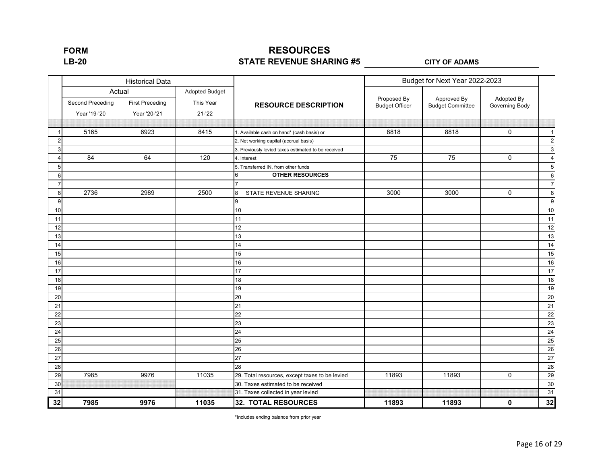## **RESOURCES STATE REVENUE SHARING #5 LB-20 CITY OF ADAMS**

|    |                  | <b>Historical Data</b> |                       |                                                     | Budget for Next Year 2022-2023 |                         |                |                         |
|----|------------------|------------------------|-----------------------|-----------------------------------------------------|--------------------------------|-------------------------|----------------|-------------------------|
|    |                  | Actual                 | <b>Adopted Budget</b> |                                                     | Proposed By                    | Approved By             | Adopted By     |                         |
|    | Second Preceding | <b>First Preceding</b> | This Year             | <b>RESOURCE DESCRIPTION</b>                         | <b>Budget Officer</b>          | <b>Budget Committee</b> | Governing Body |                         |
|    | Year '19-'20     | Year '20-'21           | $21 - 22$             |                                                     |                                |                         |                |                         |
|    |                  |                        |                       |                                                     |                                |                         |                |                         |
|    | 5165             | 6923                   | 8415                  | 1. Available cash on hand* (cash basis) or          | 8818                           | 8818                    | $\mathbf 0$    | $\mathbf{1}$            |
| 2  |                  |                        |                       | 2. Net working capital (accrual basis)              |                                |                         |                | $\overline{c}$          |
| 3  |                  |                        |                       | 3. Previously levied taxes estimated to be received |                                |                         |                | $\sqrt{3}$              |
|    | 84               | 64                     | 120                   | 4. Interest                                         | $\overline{75}$                | $\overline{75}$         | $\mathbf 0$    | $\overline{\mathbf{4}}$ |
| 5  |                  |                        |                       | 5. Transferred IN, from other funds                 |                                |                         |                | $\sqrt{5}$              |
| 6  |                  |                        |                       | <b>OTHER RESOURCES</b><br>6                         |                                |                         |                | $\,6$                   |
| 7  |                  |                        |                       |                                                     |                                |                         |                | $\overline{7}$          |
| 8  | 2736             | 2989                   | 2500                  | 8<br>STATE REVENUE SHARING                          | 3000                           | 3000                    | $\mathbf 0$    | $\bf 8$                 |
| 9  |                  |                        |                       | 9                                                   |                                |                         |                | $\boldsymbol{9}$        |
| 10 |                  |                        |                       | $10\,$                                              |                                |                         |                | 10                      |
| 11 |                  |                        |                       | 11                                                  |                                |                         |                | 11                      |
| 12 |                  |                        |                       | 12                                                  |                                |                         |                | 12                      |
| 13 |                  |                        |                       | 13                                                  |                                |                         |                | 13                      |
| 14 |                  |                        |                       | 14                                                  |                                |                         |                | 14                      |
| 15 |                  |                        |                       | 15                                                  |                                |                         |                | 15                      |
| 16 |                  |                        |                       | 16                                                  |                                |                         |                | 16                      |
| 17 |                  |                        |                       | 17                                                  |                                |                         |                | 17                      |
| 18 |                  |                        |                       | 18                                                  |                                |                         |                | 18                      |
| 19 |                  |                        |                       | 19                                                  |                                |                         |                | 19                      |
| 20 |                  |                        |                       | 20                                                  |                                |                         |                | 20                      |
| 21 |                  |                        |                       | 21                                                  |                                |                         |                | 21                      |
| 22 |                  |                        |                       | 22                                                  |                                |                         |                | 22                      |
| 23 |                  |                        |                       | 23                                                  |                                |                         |                | 23                      |
| 24 |                  |                        |                       | 24                                                  |                                |                         |                | 24                      |
| 25 |                  |                        |                       | 25                                                  |                                |                         |                | 25                      |
| 26 |                  |                        |                       | 26                                                  |                                |                         |                | 26                      |
| 27 |                  |                        |                       | 27                                                  |                                |                         |                | 27                      |
| 28 |                  |                        |                       | 28                                                  |                                |                         |                | 28                      |
| 29 | 7985             | 9976                   | 11035                 | 29. Total resources, except taxes to be levied      | 11893                          | 11893                   | 0              | 29                      |
| 30 |                  |                        |                       | 30. Taxes estimated to be received                  |                                |                         |                | 30                      |
| 31 |                  |                        |                       | 31. Taxes collected in year levied                  |                                |                         |                | 31                      |
| 32 | 7985             | 9976                   | 11035                 | <b>32. TOTAL RESOURCES</b>                          | 11893                          | 11893                   | $\mathbf 0$    | 32                      |

\*Includes ending balance from prior year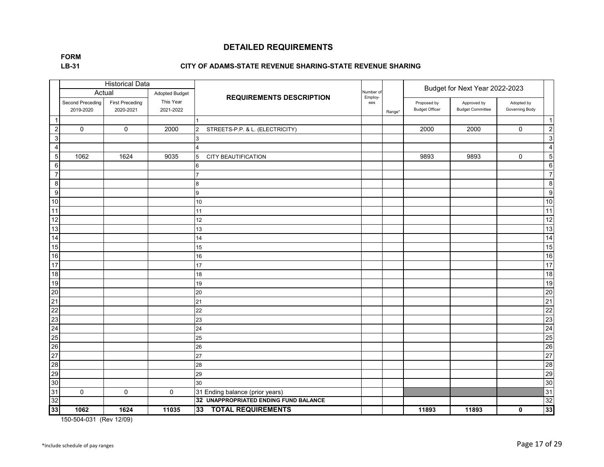**LB-31 FORM**

#### **CITY OF ADAMS-STATE REVENUE SHARING-STATE REVENUE SHARING**

|                 |                               | <b>Historical Data</b>              |                        |                                                  |                      |        | Budget for Next Year 2022-2023       |                                        |                              |                  |
|-----------------|-------------------------------|-------------------------------------|------------------------|--------------------------------------------------|----------------------|--------|--------------------------------------|----------------------------------------|------------------------------|------------------|
|                 | Actual                        |                                     | <b>Adopted Budget</b>  | <b>REQUIREMENTS DESCRIPTION</b>                  | Number of<br>Employ- |        |                                      |                                        |                              |                  |
|                 | Second Preceding<br>2019-2020 | <b>First Preceding</b><br>2020-2021 | This Year<br>2021-2022 |                                                  | ees                  | Range* | Proposed by<br><b>Budget Officer</b> | Approved by<br><b>Budget Committee</b> | Adopted by<br>Governing Body |                  |
| $\overline{1}$  |                               |                                     |                        |                                                  |                      |        |                                      |                                        |                              | $\overline{1}$   |
| $\overline{2}$  | $\mathbf 0$                   | $\mathbf{0}$                        | 2000                   | STREETS-P.P. & L. (ELECTRICITY)<br>$\mathcal{P}$ |                      |        | 2000                                 | 2000                                   | $\mathbf 0$                  | $\overline{2}$   |
| $\mathbf{3}$    |                               |                                     |                        | 3                                                |                      |        |                                      |                                        |                              | $\sqrt{3}$       |
| $\overline{4}$  |                               |                                     |                        | $\Delta$                                         |                      |        |                                      |                                        |                              | $\overline{4}$   |
| $\overline{5}$  | 1062                          | 1624                                | 9035                   | CITY BEAUTIFICATION<br>5                         |                      |        | 9893                                 | 9893                                   | $\mathbf 0$                  | 5                |
| $6\phantom{1}6$ |                               |                                     |                        | 6                                                |                      |        |                                      |                                        |                              | 6                |
| $\overline{7}$  |                               |                                     |                        | $\overline{7}$                                   |                      |        |                                      |                                        |                              | $\overline{7}$   |
| 8               |                               |                                     |                        | 8                                                |                      |        |                                      |                                        |                              | 8                |
| 9               |                               |                                     |                        | 9                                                |                      |        |                                      |                                        |                              | $\boldsymbol{9}$ |
| $10$            |                               |                                     |                        | 10                                               |                      |        |                                      |                                        |                              | 10               |
| 11              |                               |                                     |                        | 11                                               |                      |        |                                      |                                        |                              | 11               |
| $\overline{12}$ |                               |                                     |                        | 12                                               |                      |        |                                      |                                        |                              | 12               |
| 13              |                               |                                     |                        | 13                                               |                      |        |                                      |                                        |                              | 13               |
| $\overline{14}$ |                               |                                     |                        | 14                                               |                      |        |                                      |                                        |                              | 14               |
| 15              |                               |                                     |                        | 15                                               |                      |        |                                      |                                        |                              | 15               |
| 16              |                               |                                     |                        | 16                                               |                      |        |                                      |                                        |                              | 16               |
| 17              |                               |                                     |                        | 17                                               |                      |        |                                      |                                        |                              | 17               |
| 18              |                               |                                     |                        | 18                                               |                      |        |                                      |                                        |                              | 18               |
| 19              |                               |                                     |                        | 19                                               |                      |        |                                      |                                        |                              | 19               |
| 20              |                               |                                     |                        | 20                                               |                      |        |                                      |                                        |                              | 20               |
| 21              |                               |                                     |                        | 21                                               |                      |        |                                      |                                        |                              | 21               |
| 22              |                               |                                     |                        | 22                                               |                      |        |                                      |                                        |                              | 22               |
| 23              |                               |                                     |                        | 23                                               |                      |        |                                      |                                        |                              | 23               |
| 24              |                               |                                     |                        | 24                                               |                      |        |                                      |                                        |                              | 24               |
| 25              |                               |                                     |                        | 25                                               |                      |        |                                      |                                        |                              | 25               |
| 26              |                               |                                     |                        | 26                                               |                      |        |                                      |                                        |                              | 26               |
| 27              |                               |                                     |                        | 27                                               |                      |        |                                      |                                        |                              | 27               |
| 28              |                               |                                     |                        | 28                                               |                      |        |                                      |                                        |                              | 28               |
| 29              |                               |                                     |                        | 29                                               |                      |        |                                      |                                        |                              | 29               |
| 30              |                               |                                     |                        | 30                                               |                      |        |                                      |                                        |                              | 30               |
| 31              | $\mathbf 0$                   | $\mathbf 0$                         | $\mathbf 0$            | 31 Ending balance (prior years)                  |                      |        |                                      |                                        |                              | 31               |
| 32              |                               |                                     |                        | 32 UNAPPROPRIATED ENDING FUND BALANCE            |                      |        |                                      |                                        |                              | 32               |
| 33              | 1062                          | 1624                                | 11035                  | <b>TOTAL REQUIREMENTS</b><br>33                  |                      |        | 11893                                | 11893                                  | 0                            | 33               |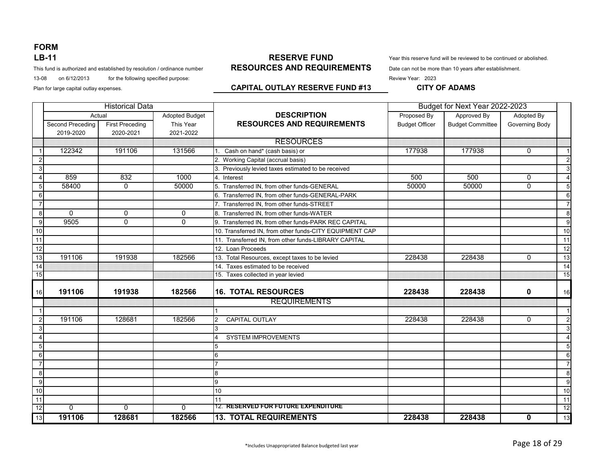This fund is authorized and established by resolution / ordinance number **RESOURCES AND REQUIREMENTS** Date can not be more than 10 years after establishment.

13-08 on 6/12/2013 for the following specified purpose: **Review Year: 2023** Review Year: 2023

#### **RESERVE FUND RESOURCES AND REQUIREMENTS LB-11** The reviewed to be continued or abolished.

#### Plan for large capital outlay expenses. **CAPITAL OUTLAY RESERVE FUND #13** CITY OF ADAMS

|                         | <b>Historical Data</b> |                        |                       |                                                         | Budget for Next Year 2022-2023 |                         |                |                 |
|-------------------------|------------------------|------------------------|-----------------------|---------------------------------------------------------|--------------------------------|-------------------------|----------------|-----------------|
|                         |                        | Actual                 | <b>Adopted Budget</b> | <b>DESCRIPTION</b>                                      | Proposed By                    | Approved By             | Adopted By     |                 |
|                         | Second Preceding       | <b>First Preceding</b> | This Year             | <b>RESOURCES AND REQUIREMENTS</b>                       | <b>Budget Officer</b>          | <b>Budget Committee</b> | Governing Body |                 |
|                         | 2019-2020              | 2020-2021              | 2021-2022             |                                                         |                                |                         |                |                 |
|                         |                        |                        |                       | <b>RESOURCES</b>                                        |                                |                         |                |                 |
|                         | 122342                 | 191106                 | 131566                | Cash on hand* (cash basis) or                           | 177938                         | 177938                  | $\Omega$       | $\overline{1}$  |
| $\overline{2}$          |                        |                        |                       | 2. Working Capital (accrual basis)                      |                                |                         |                | $\overline{2}$  |
| 3                       |                        |                        |                       | 3. Previously levied taxes estimated to be received     |                                |                         |                | 3               |
| $\boldsymbol{\Delta}$   | 859                    | 832                    | 1000                  | 4. Interest                                             | 500                            | 500                     | $\mathbf{0}$   | $\overline{4}$  |
| 5                       | 58400                  | $\mathbf{0}$           | 50000                 | 5. Transferred IN, from other funds-GENERAL             | 50000                          | 50000                   | $\mathbf{0}$   | 5 <sub>5</sub>  |
| 6                       |                        |                        |                       | 6. Transferred IN, from other funds-GENERAL-PARK        |                                |                         |                | 6               |
| $\overline{7}$          |                        |                        |                       | 7. Transferred IN, from other funds-STREET              |                                |                         |                | $\overline{7}$  |
| 8                       | $\Omega$               | $\mathbf 0$            | $\mathbf 0$           | 8. Transferred IN, from other funds-WATER               |                                |                         |                | 8               |
| 9                       | 9505                   | $\Omega$               | $\overline{0}$        | 9. Transferred IN, from other funds-PARK REC CAPITAL    |                                |                         |                | 9               |
| 10                      |                        |                        |                       | 10. Transferred IN, from other funds-CITY EQUIPMENT CAP |                                |                         |                | 10              |
| 11                      |                        |                        |                       | 11. Transferred IN, from other funds-LIBRARY CAPITAL    |                                |                         |                | 11              |
| 12                      |                        |                        |                       | 12. Loan Proceeds                                       |                                |                         |                | 12              |
| 13                      | 191106                 | 191938                 | 182566                | 13. Total Resources, except taxes to be levied          | 228438                         | 228438                  | $\Omega$       | 13              |
| 14                      |                        |                        |                       | 14. Taxes estimated to be received                      |                                |                         |                | 14              |
| 15                      |                        |                        |                       | 15. Taxes collected in year levied                      |                                |                         |                | 15              |
|                         |                        |                        |                       |                                                         |                                |                         |                |                 |
| 16                      | 191106                 | 191938                 | 182566                | <b>16. TOTAL RESOURCES</b>                              | 228438                         | 228438                  | $\mathbf 0$    | 16              |
|                         |                        |                        |                       | <b>REQUIREMENTS</b>                                     |                                |                         |                |                 |
| $\overline{\mathbf{1}}$ |                        |                        |                       |                                                         |                                |                         |                | $\overline{1}$  |
| $\overline{2}$          | 191106                 | 128681                 | 182566                | CAPITAL OUTLAY<br>$\mathfrak{p}$                        | 228438                         | 228438                  | $\mathbf{0}$   | $\mathbf{2}$    |
| 3                       |                        |                        |                       | 3                                                       |                                |                         |                | 3               |
|                         |                        |                        |                       | SYSTEM IMPROVEMENTS                                     |                                |                         |                | $\overline{4}$  |
| 5                       |                        |                        |                       |                                                         |                                |                         |                | $5\overline{)}$ |
| 6                       |                        |                        |                       |                                                         |                                |                         |                | 6               |
| $\overline{7}$          |                        |                        |                       |                                                         |                                |                         |                | $\overline{7}$  |
| 8                       |                        |                        |                       | 8                                                       |                                |                         |                | 8               |
| 9                       |                        |                        |                       | 9                                                       |                                |                         |                | 9               |
| 10                      |                        |                        |                       | 10                                                      |                                |                         |                | 10              |
| 11                      |                        |                        |                       | 11                                                      |                                |                         |                | 11              |
| 12                      | $\overline{0}$         | $\overline{0}$         | $\overline{0}$        | 12. RESERVED FOR FUTURE EXPENDITURE                     |                                |                         |                | 12              |
| 13                      | 191106                 | 128681                 | 182566                | <b>13. TOTAL REQUIREMENTS</b>                           | 228438                         | 228438                  | $\mathbf 0$    | 13              |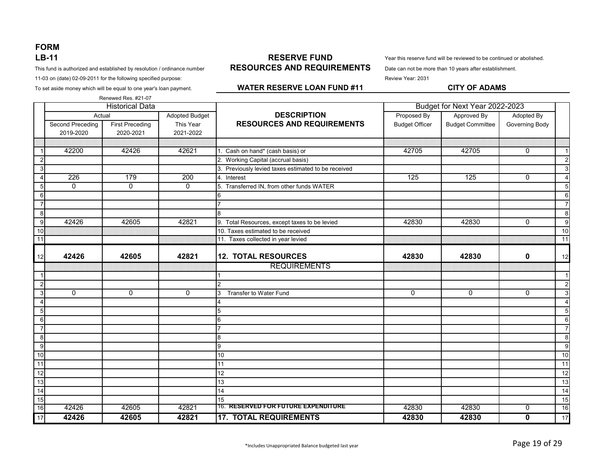This fund is authorized and established by resolution / ordinance number **RESOURCES AND REQUIREMENTS** Date can not be more than 10 years after establishment.

11-03 on (date) 02-09-2011 for the following specified purpose: Review Year: 2031

To set aside money which will be equal to one year's loan payment. **CITY OF ADAMS**

#### **RESERVE FUND RESOURCES AND REQUIREMENTS LB-11** The server this reserve fund will be reviewed to be continued or abolished.

#### **WATER RESERVE LOAN FUND #11**

|                  |                  | Renewed Res. #21-07    |                |                                                     |                                |                         |                |                         |
|------------------|------------------|------------------------|----------------|-----------------------------------------------------|--------------------------------|-------------------------|----------------|-------------------------|
|                  |                  | <b>Historical Data</b> |                |                                                     | Budget for Next Year 2022-2023 |                         |                |                         |
|                  | Actual           |                        | Adopted Budget | <b>DESCRIPTION</b>                                  | Proposed By                    | Approved By             | Adopted By     |                         |
|                  | Second Preceding | <b>First Preceding</b> | This Year      | <b>RESOURCES AND REQUIREMENTS</b>                   | <b>Budget Officer</b>          | <b>Budget Committee</b> | Governing Body |                         |
|                  | 2019-2020        | 2020-2021              | 2021-2022      |                                                     |                                |                         |                |                         |
|                  |                  |                        |                |                                                     |                                |                         |                |                         |
|                  | 42200            | 42426                  | 42621          | 1. Cash on hand* (cash basis) or                    | 42705                          | 42705                   | $\mathbf{0}$   | $\overline{1}$          |
| 2                |                  |                        |                | 2. Working Capital (accrual basis)                  |                                |                         |                | $\overline{2}$          |
| $\mathbf{3}$     |                  |                        |                | 3. Previously levied taxes estimated to be received |                                |                         |                | 3                       |
| $\overline{4}$   | 226              | 179                    | 200            | 4. Interest                                         | 125                            | 125                     | $\mathbf{0}$   | $\overline{4}$          |
| $5 \overline{5}$ | $\Omega$         | $\Omega$               | $\Omega$       | 5. Transferred IN, from other funds WATER           |                                |                         |                | 5                       |
| 6                |                  |                        |                | 6                                                   |                                |                         |                | $6\phantom{1}6$         |
| $\overline{7}$   |                  |                        |                |                                                     |                                |                         |                | $\overline{7}$          |
| 8                |                  |                        |                | 8                                                   |                                |                         |                | 8                       |
| 9                | 42426            | 42605                  | 42821          | 9. Total Resources, except taxes to be levied       | 42830                          | 42830                   | $\Omega$       | 9                       |
| 10               |                  |                        |                | 10. Taxes estimated to be received                  |                                |                         |                | $\overline{10}$         |
| 11               |                  |                        |                | 11. Taxes collected in year levied                  |                                |                         |                | 11                      |
|                  |                  |                        |                |                                                     |                                |                         |                |                         |
| 12               | 42426            | 42605                  | 42821          | <b>12. TOTAL RESOURCES</b>                          | 42830                          | 42830                   | 0              | 12                      |
|                  |                  |                        |                | <b>REQUIREMENTS</b>                                 |                                |                         |                |                         |
| -1               |                  |                        |                |                                                     |                                |                         |                | $\overline{\mathbf{1}}$ |
| $\overline{2}$   |                  |                        |                | $\mathfrak{p}$                                      |                                |                         |                | $\overline{2}$          |
| $\mathbf{3}$     | $\mathbf{0}$     | $\mathbf{0}$           | $\mathbf 0$    | Transfer to Water Fund                              | $\Omega$                       | $\mathbf 0$             | $\mathbf 0$    | $\mathbf{3}$            |
| 4                |                  |                        |                | $\overline{4}$                                      |                                |                         |                | $\Delta$                |
| $5 \overline{5}$ |                  |                        |                | 5                                                   |                                |                         |                | 5                       |
| 6                |                  |                        |                | 6                                                   |                                |                         |                | 6                       |
| $\overline{7}$   |                  |                        |                |                                                     |                                |                         |                | $\overline{7}$          |
| 8                |                  |                        |                | 8                                                   |                                |                         |                | 8                       |
| 9                |                  |                        |                | 9                                                   |                                |                         |                | 9                       |
| 10               |                  |                        |                | 10                                                  |                                |                         |                | 10                      |
| $\overline{11}$  |                  |                        |                | 11                                                  |                                |                         |                | $\overline{11}$         |
| 12               |                  |                        |                | $\overline{12}$                                     |                                |                         |                | $\overline{12}$         |
| 13               |                  |                        |                | 13                                                  |                                |                         |                | $\overline{13}$         |
| 14               |                  |                        |                | $\overline{14}$                                     |                                |                         |                | $\overline{14}$         |
| 15               |                  |                        |                | 15                                                  |                                |                         |                | 15                      |
| 16               | 42426            | 42605                  | 42821          | 16. RESERVED FOR FUTURE EXPENDITURE                 | 42830                          | 42830                   | $\overline{0}$ | 16                      |
| $\overline{17}$  | 42426            | 42605                  | 42821          | <b>17. TOTAL REQUIREMENTS</b>                       | 42830                          | 42830                   | 0              | 17                      |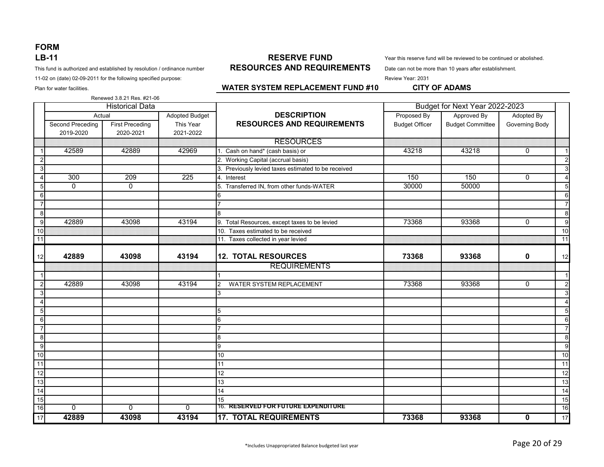This fund is authorized and established by resolution / ordinance number **RESOURCES AND REQUIREMENTS** Date can not be more than 10 years after establishment.

11-02 on (date) 02-09-2011 for the following specified purpose: Review Year: 2031

**RESERVE FUND RESOURCES AND REQUIREMENTS LB-11** This reserve fund will be reviewed to be continued or abolished.

Plan for water facilities. **CITY OF ADAMS WATER SYSTEM REPLACEMENT FUND #10 CITY OF ADAMS** 

#### Adopted Budget **DESCRIPTION Proposed By Approved By Adopted By** Adopted By Second Preceding **First Preceding** This Year **RESOURCES AND REQUIREMENTS** Budget Officer Budget Committee Governing Body 2019-2020 2020-2021 2021-2022 RESOURCES 1 42589 42889 42969 1. Cash on hand\* (cash basis) or 43218 43218 0 1 2 2. Working Capital (accrual basis) 2 3. Previously levied taxes estimated to be received 3. The state of the state of the state of the state of the state of the state of the state of the state of the state of the state of the state of the state of the state o 4 300 | 209 | 225 |4. Interest 150 | 150 | 150 | 0 | 4 5 0 0 0 0 50000 5. Transferred IN. from other funds-WATER 30000 50000 50000 50000 50000 5 6 6 6 7 7 7 8 8 8 9 42889 43098 43194 9. Total Resources, except taxes to be levied 73368 93368 0 91368 0 93368 10 10 10. Taxes estimated to be received 10. Taxes estimated to be received 10. Taxes estimated to be received 11 11. Taxes collected in year levied 11. Taxes collected in year levied 12 **42889 43098 43194 12. TOTAL RESOURCES 73368 93368 0** 12 REQUIREMENTS 1 1 1 2 42889 43098 43194 2 WATER SYSTEM REPLACEMENT 173368 93368 93368 0 2  $3$  3  $3$  3 3 3 3 3 3 3 3 3 3 3 3 3 3 4 3 3 4 3 3 4 3 4 3 4 3 4 3 4 3 4 3 4 3 4 3 4 3 4 3 4 3 4 3 4 3 4 3 4 3 4 3 4 3 4 3 4 3 4 3 4 3 4 3 4 3 4 3 4 3 4 3 4 3 4 3 4 3 4 3 4 3 4 3 4 3 4 3 4 3 4 3 4 3 4 3 4 3 4 3 4 3 4 3 4 4 4 4 5 5 5 6 6 6 7 7 7 8 8 8 9 9 9 10 10 10 11 | 11 | 11 | 11 | 11 | 11 | 11 | 11 | 11 12 12 12 13 13 13 14 14 14 15 15 15 16 0 0 0 0 16. RESERVED FOR FUTURE EXPENDITURE 1 16 17 **42889 43098 43194 17. TOTAL REQUIREMENTS 73368 93368 0** 17 Renewed 3.8.21 Res. #21-06 Historical Data Budget for Next Year 2022-2023 Actual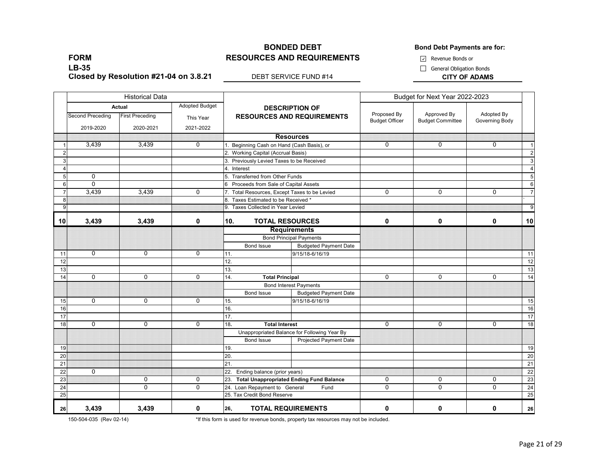#### **BONDED DEBT BONDED BONDED BONDED BONDED BONDED BONDED BONDED RESOURCES AND REQUIREMENTS**

Revenue Bonds or

General Obligation Bonds

**FORM LB-35 Closed by Resolution #21-04 on 3.8.21**

**DEBT SERVICE FUND #14 CITY OF ADAMS** 

|                |                  | <b>Historical Data</b>           |                                    |                   |                                                              |                                                            | Budget for Next Year 2022-2023       |                                        |                              |                 |
|----------------|------------------|----------------------------------|------------------------------------|-------------------|--------------------------------------------------------------|------------------------------------------------------------|--------------------------------------|----------------------------------------|------------------------------|-----------------|
|                | Second Preceding | Actual<br><b>First Preceding</b> | <b>Adopted Budget</b><br>This Year |                   |                                                              | <b>DESCRIPTION OF</b><br><b>RESOURCES AND REQUIREMENTS</b> | Proposed By<br><b>Budget Officer</b> | Approved By<br><b>Budget Committee</b> | Adopted By<br>Governing Body |                 |
|                | 2019-2020        | 2020-2021                        | 2021-2022                          |                   |                                                              |                                                            |                                      |                                        |                              |                 |
|                |                  |                                  |                                    |                   |                                                              | <b>Resources</b>                                           |                                      |                                        |                              |                 |
|                | 3,439            | 3,439                            | $\Omega$                           |                   |                                                              | Beginning Cash on Hand (Cash Basis), or                    | $\Omega$                             | $\Omega$                               | $\Omega$                     | $\overline{1}$  |
| $\overline{2}$ |                  |                                  |                                    |                   | 2. Working Capital (Accrual Basis)                           |                                                            |                                      |                                        |                              | $\overline{2}$  |
| 3              |                  |                                  |                                    |                   | 3. Previously Levied Taxes to be Received                    |                                                            |                                      |                                        |                              | $\mathbf{3}$    |
| $\overline{4}$ |                  |                                  |                                    | 4. Interest       |                                                              |                                                            |                                      |                                        |                              | $\overline{4}$  |
| 5              | $\mathbf 0$      |                                  |                                    |                   | 5. Transferred from Other Funds                              |                                                            |                                      |                                        |                              | 5               |
| 6              | $\Omega$         |                                  |                                    |                   | 6 Proceeds from Sale of Capital Assets                       |                                                            |                                      |                                        |                              | 6               |
| $\overline{7}$ | 3,439            | 3,439                            | $\mathbf 0$                        |                   |                                                              | 7. Total Resources, Except Taxes to be Levied              | $\Omega$                             | 0                                      | $\mathbf 0$                  | $\overline{7}$  |
| 8              |                  |                                  |                                    |                   | 8. Taxes Estimated to be Received *                          |                                                            |                                      |                                        |                              |                 |
| 9              |                  |                                  |                                    |                   | 9. Taxes Collected in Year Levied                            |                                                            |                                      |                                        |                              | 9               |
| 10             | 3,439            | 3,439                            | 0                                  | 10.               | <b>TOTAL RESOURCES</b>                                       |                                                            | 0                                    | 0                                      | 0                            | 10              |
|                |                  |                                  |                                    |                   | <b>Requirements</b>                                          |                                                            |                                      |                                        |                              |                 |
|                |                  |                                  |                                    |                   | <b>Bond Principal Payments</b>                               |                                                            |                                      |                                        |                              |                 |
|                |                  |                                  |                                    |                   | Bond Issue                                                   | <b>Budgeted Payment Date</b>                               |                                      |                                        |                              |                 |
| 11             | 0                | 0                                | 0                                  | 11.               |                                                              | 9/15/18-6/16/19                                            |                                      |                                        |                              | 11              |
| 12             |                  |                                  |                                    | 12.               |                                                              |                                                            |                                      |                                        |                              | 12              |
| 13             |                  |                                  |                                    | 13.               |                                                              |                                                            |                                      |                                        |                              | 13              |
| 14             | $\Omega$         | 0                                | $\Omega$                           | 14.               | <b>Total Principal</b>                                       |                                                            | $\mathbf{0}$                         | $\Omega$                               | $\Omega$                     | 14              |
|                |                  |                                  |                                    |                   |                                                              | <b>Bond Interest Payments</b>                              |                                      |                                        |                              |                 |
|                |                  |                                  |                                    |                   | Bond Issue                                                   | <b>Budgeted Payment Date</b>                               |                                      |                                        |                              |                 |
| 15             | $\overline{0}$   | $\overline{0}$                   | $\overline{0}$                     | 15.               |                                                              | 9/15/18-6/16/19                                            |                                      |                                        |                              | 15              |
| 16             |                  |                                  |                                    | 16.               |                                                              |                                                            |                                      |                                        |                              | 16              |
| 17             |                  |                                  |                                    | $\overline{17}$ . |                                                              |                                                            |                                      |                                        |                              | $\overline{17}$ |
| 18             | $\Omega$         | $\mathbf 0$                      | $\Omega$                           | 18.               | <b>Total Interest</b>                                        |                                                            | $\mathbf{0}$                         | $\Omega$                               | $\Omega$                     | 18              |
|                |                  |                                  |                                    |                   |                                                              | Unappropriated Balance for Following Year By               |                                      |                                        |                              |                 |
|                |                  |                                  |                                    |                   | Bond Issue                                                   | <b>Projected Payment Date</b>                              |                                      |                                        |                              |                 |
| 19             |                  |                                  |                                    | 19.               |                                                              |                                                            |                                      |                                        |                              | 19              |
| 20             |                  |                                  |                                    | 20.               |                                                              |                                                            |                                      |                                        |                              | 20              |
| 21             |                  |                                  |                                    | 21.               |                                                              |                                                            |                                      |                                        |                              | $\overline{21}$ |
| 22<br>23       | $\mathbf 0$      | $\overline{0}$                   | $\overline{0}$                     |                   | 22. Ending balance (prior years)                             |                                                            | $\overline{0}$                       | $\overline{0}$                         | $\overline{0}$               | 22<br>23        |
|                |                  | $\mathbf 0$                      | $\mathbf 0$                        |                   |                                                              | 23. Total Unappropriated Ending Fund Balance               | $\mathbf 0$                          | $\mathbf 0$                            | $\mathbf 0$                  |                 |
| 24<br>25       |                  |                                  |                                    |                   | 24. Loan Repayment to General<br>25. Tax Credit Bond Reserve | Fund                                                       |                                      |                                        |                              | 24<br>25        |
|                |                  |                                  |                                    |                   |                                                              |                                                            |                                      |                                        |                              |                 |
| 26             | 3,439            | 3,439                            | 0                                  | 26.               | <b>TOTAL REQUIREMENTS</b>                                    |                                                            | 0                                    | 0                                      | 0                            | 26              |

150-504-035 (Rev 02-14)

\*If this form is used for revenue bonds, property tax resources may not be included.